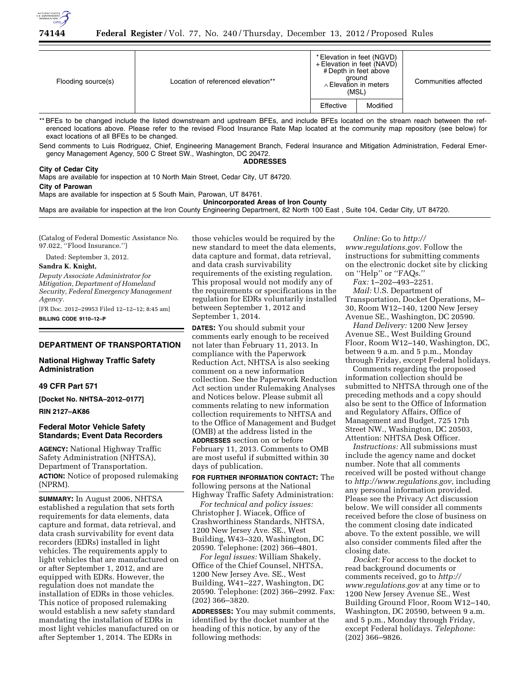

| Flooding source(s) | Location of referenced elevation** |           | * Elevation in feet (NGVD)<br>+ Elevation in feet (NAVD)<br># Depth in feet above<br>ground<br>$\land$ Elevation in meters<br>(MSL) | Communities affected |
|--------------------|------------------------------------|-----------|-------------------------------------------------------------------------------------------------------------------------------------|----------------------|
|                    |                                    | Effective | Modified                                                                                                                            |                      |

\*\* BFEs to be changed include the listed downstream and upstream BFEs, and include BFEs located on the stream reach between the referenced locations above. Please refer to the revised Flood Insurance Rate Map located at the community map repository (see below) for exact locations of all BFEs to be changed.

Send comments to Luis Rodriguez, Chief, Engineering Management Branch, Federal Insurance and Mitigation Administration, Federal Emergency Management Agency, 500 C Street SW., Washington, DC 20472.

**ADDRESSES** 

# **City of Cedar City**

Maps are available for inspection at 10 North Main Street, Cedar City, UT 84720. **City of Parowan** 

Maps are available for inspection at 5 South Main, Parowan, UT 84761.

#### **Unincorporated Areas of Iron County**

Maps are available for inspection at the Iron County Engineering Department, 82 North 100 East , Suite 104, Cedar City, UT 84720.

(Catalog of Federal Domestic Assistance No. 97.022, ''Flood Insurance.'')

Dated: September 3, 2012.

**Sandra K. Knight,** 

*Deputy Associate Administrator for Mitigation, Department of Homeland Security, Federal Emergency Management Agency.* 

[FR Doc. 2012–29953 Filed 12–12–12; 8:45 am] **BILLING CODE 9110–12–P** 

### **DEPARTMENT OF TRANSPORTATION**

# **National Highway Traffic Safety Administration**

## **49 CFR Part 571**

**[Docket No. NHTSA–2012–0177]** 

### **RIN 2127–AK86**

# **Federal Motor Vehicle Safety Standards; Event Data Recorders**

**AGENCY:** National Highway Traffic Safety Administration (NHTSA), Department of Transportation. **ACTION:** Notice of proposed rulemaking (NPRM).

**SUMMARY:** In August 2006, NHTSA established a regulation that sets forth requirements for data elements, data capture and format, data retrieval, and data crash survivability for event data recorders (EDRs) installed in light vehicles. The requirements apply to light vehicles that are manufactured on or after September 1, 2012, and are equipped with EDRs. However, the regulation does not mandate the installation of EDRs in those vehicles. This notice of proposed rulemaking would establish a new safety standard mandating the installation of EDRs in most light vehicles manufactured on or after September 1, 2014. The EDRs in

those vehicles would be required by the new standard to meet the data elements, data capture and format, data retrieval, and data crash survivability requirements of the existing regulation. This proposal would not modify any of the requirements or specifications in the regulation for EDRs voluntarily installed between September 1, 2012 and September 1, 2014.

**DATES:** You should submit your comments early enough to be received not later than February 11, 2013. In compliance with the Paperwork Reduction Act, NHTSA is also seeking comment on a new information collection. See the Paperwork Reduction Act section under Rulemaking Analyses and Notices below. Please submit all comments relating to new information collection requirements to NHTSA and to the Office of Management and Budget (OMB) at the address listed in the **ADDRESSES** section on or before February 11, 2013. Comments to OMB are most useful if submitted within 30 days of publication.

**FOR FURTHER INFORMATION CONTACT:** The following persons at the National Highway Traffic Safety Administration:

*For technical and policy issues:*  Christopher J. Wiacek, Office of Crashworthiness Standards, NHTSA, 1200 New Jersey Ave. SE., West Building, W43–320, Washington, DC 20590. Telephone: (202) 366–4801.

*For legal issues:* William Shakely, Office of the Chief Counsel, NHTSA, 1200 New Jersey Ave. SE., West Building, W41–227, Washington, DC 20590. Telephone: (202) 366–2992. Fax: (202) 366–3820.

**ADDRESSES:** You may submit comments, identified by the docket number at the heading of this notice, by any of the following methods:

*Online:* Go to *[http://](http://www.regulations.gov) [www.regulations.gov](http://www.regulations.gov)*. Follow the instructions for submitting comments on the electronic docket site by clicking on ''Help'' or ''FAQs.''

*Fax:* 1–202–493–2251.

*Mail:* U.S. Department of Transportation, Docket Operations, M– 30, Room W12–140, 1200 New Jersey Avenue SE., Washington, DC 20590.

*Hand Delivery:* 1200 New Jersey Avenue SE., West Building Ground Floor, Room W12–140, Washington, DC, between 9 a.m. and 5 p.m., Monday through Friday, except Federal holidays.

Comments regarding the proposed information collection should be submitted to NHTSA through one of the preceding methods and a copy should also be sent to the Office of Information and Regulatory Affairs, Office of Management and Budget, 725 17th Street NW., Washington, DC 20503, Attention: NHTSA Desk Officer.

*Instructions:* All submissions must include the agency name and docket number. Note that all comments received will be posted without change to *[http://www.regulations.gov,](http://www.regulations.gov)* including any personal information provided. Please see the Privacy Act discussion below. We will consider all comments received before the close of business on the comment closing date indicated above. To the extent possible, we will also consider comments filed after the closing date.

*Docket:* For access to the docket to read background documents or comments received, go to *[http://](http://www.regulations.gov)  [www.regulations.gov](http://www.regulations.gov)* at any time or to 1200 New Jersey Avenue SE., West Building Ground Floor, Room W12–140, Washington, DC 20590, between 9 a.m. and 5 p.m., Monday through Friday, except Federal holidays. *Telephone:*  (202) 366–9826.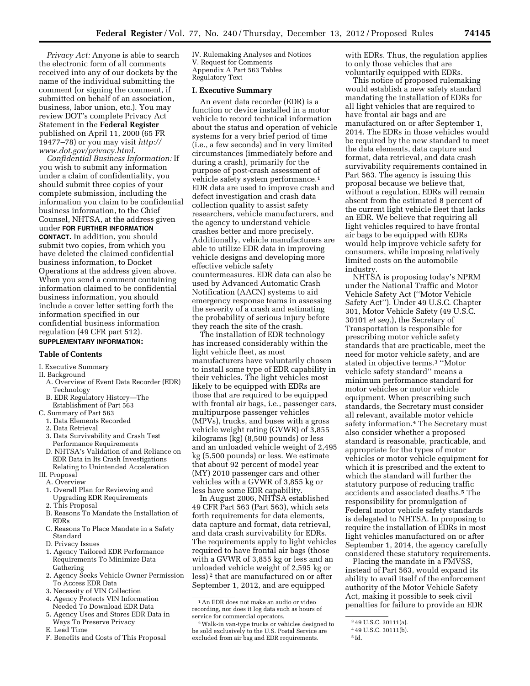*Privacy Act:* Anyone is able to search the electronic form of all comments received into any of our dockets by the name of the individual submitting the comment (or signing the comment, if submitted on behalf of an association, business, labor union, etc.). You may review DOT's complete Privacy Act Statement in the **Federal Register**  published on April 11, 2000 (65 FR 19477–78) or you may visit *[http://](http://www.dot.gov/privacy.html) [www.dot.gov/privacy.html](http://www.dot.gov/privacy.html)*.

*Confidential Business Information:* If you wish to submit any information under a claim of confidentiality, you should submit three copies of your complete submission, including the information you claim to be confidential business information, to the Chief Counsel, NHTSA, at the address given under **FOR FURTHER INFORMATION CONTACT.** In addition, you should submit two copies, from which you have deleted the claimed confidential business information, to Docket Operations at the address given above. When you send a comment containing information claimed to be confidential business information, you should include a cover letter setting forth the information specified in our confidential business information regulation (49 CFR part 512). **SUPPLEMENTARY INFORMATION:** 

#### **Table of Contents**

#### I. Executive Summary

- II. Background
	- A. Overview of Event Data Recorder (EDR) Technology
	- B. EDR Regulatory History—The Establishment of Part 563
- C. Summary of Part 563
	- 1. Data Elements Recorded
	- 2. Data Retrieval
	- 3. Data Survivability and Crash Test Performance Requirements
	- D. NHTSA's Validation of and Reliance on EDR Data in Its Crash Investigations Relating to Unintended Acceleration
- III. Proposal A. Overview
	- 1. Overall Plan for Reviewing and Upgrading EDR Requirements
	- 2. This Proposal
	- B. Reasons To Mandate the Installation of EDRs
	- C. Reasons To Place Mandate in a Safety Standard
	- D. Privacy Issues
	- 1. Agency Tailored EDR Performance Requirements To Minimize Data Gathering
	- 2. Agency Seeks Vehicle Owner Permission To Access EDR Data
	- 3. Necessity of VIN Collection
	- 4. Agency Protects VIN Information Needed To Download EDR Data
	- 5. Agency Uses and Stores EDR Data in Ways To Preserve Privacy
	- E. Lead Time
	- F. Benefits and Costs of This Proposal

IV. Rulemaking Analyses and Notices V. Request for Comments Appendix A Part 563 Tables Regulatory Text

#### **I. Executive Summary**

An event data recorder (EDR) is a function or device installed in a motor vehicle to record technical information about the status and operation of vehicle systems for a very brief period of time (i.e., a few seconds) and in very limited circumstances (immediately before and during a crash), primarily for the purpose of post-crash assessment of vehicle safety system performance.1 EDR data are used to improve crash and defect investigation and crash data collection quality to assist safety researchers, vehicle manufacturers, and the agency to understand vehicle crashes better and more precisely. Additionally, vehicle manufacturers are able to utilize EDR data in improving vehicle designs and developing more effective vehicle safety countermeasures. EDR data can also be used by Advanced Automatic Crash Notification (AACN) systems to aid emergency response teams in assessing the severity of a crash and estimating the probability of serious injury before they reach the site of the crash.

The installation of EDR technology has increased considerably within the light vehicle fleet, as most manufacturers have voluntarily chosen to install some type of EDR capability in their vehicles. The light vehicles most likely to be equipped with EDRs are those that are required to be equipped with frontal air bags, i.e., passenger cars, multipurpose passenger vehicles (MPVs), trucks, and buses with a gross vehicle weight rating (GVWR) of 3,855 kilograms (kg) (8,500 pounds) or less and an unloaded vehicle weight of 2,495 kg (5,500 pounds) or less. We estimate that about 92 percent of model year (MY) 2010 passenger cars and other vehicles with a GVWR of 3,855 kg or less have some EDR capability.

In August 2006, NHTSA established 49 CFR Part 563 (Part 563), which sets forth requirements for data elements, data capture and format, data retrieval, and data crash survivability for EDRs. The requirements apply to light vehicles required to have frontal air bags (those with a GVWR of 3,855 kg or less and an unloaded vehicle weight of 2,595 kg or less) 2 that are manufactured on or after September 1, 2012, and are equipped

1An EDR does not make an audio or video recording, nor does it log data such as hours of service for commercial operators.

with EDRs. Thus, the regulation applies to only those vehicles that are voluntarily equipped with EDRs.

This notice of proposed rulemaking would establish a new safety standard mandating the installation of EDRs for all light vehicles that are required to have frontal air bags and are manufactured on or after September 1, 2014. The EDRs in those vehicles would be required by the new standard to meet the data elements, data capture and format, data retrieval, and data crash survivability requirements contained in Part 563. The agency is issuing this proposal because we believe that, without a regulation, EDRs will remain absent from the estimated 8 percent of the current light vehicle fleet that lacks an EDR. We believe that requiring all light vehicles required to have frontal air bags to be equipped with EDRs would help improve vehicle safety for consumers, while imposing relatively limited costs on the automobile industry.

NHTSA is proposing today's NPRM under the National Traffic and Motor Vehicle Safety Act (''Motor Vehicle Safety Act''). Under 49 U.S.C. Chapter 301, Motor Vehicle Safety (49 U.S.C. 30101 *et seq.*), the Secretary of Transportation is responsible for prescribing motor vehicle safety standards that are practicable, meet the need for motor vehicle safety, and are stated in objective terms.3 ''Motor vehicle safety standard'' means a minimum performance standard for motor vehicles or motor vehicle equipment. When prescribing such standards, the Secretary must consider all relevant, available motor vehicle safety information.4 The Secretary must also consider whether a proposed standard is reasonable, practicable, and appropriate for the types of motor vehicles or motor vehicle equipment for which it is prescribed and the extent to which the standard will further the statutory purpose of reducing traffic accidents and associated deaths.5 The responsibility for promulgation of Federal motor vehicle safety standards is delegated to NHTSA. In proposing to require the installation of EDRs in most light vehicles manufactured on or after September 1, 2014, the agency carefully considered these statutory requirements.

Placing the mandate in a FMVSS, instead of Part 563, would expand its ability to avail itself of the enforcement authority of the Motor Vehicle Safety Act, making it possible to seek civil penalties for failure to provide an EDR

<sup>2</sup>Walk-in van-type trucks or vehicles designed to be sold exclusively to the U.S. Postal Service are excluded from air bag and EDR requirements.

<sup>3</sup> 49 U.S.C. 30111(a).

<sup>4</sup> 49 U.S.C. 30111(b).

<sup>5</sup> Id.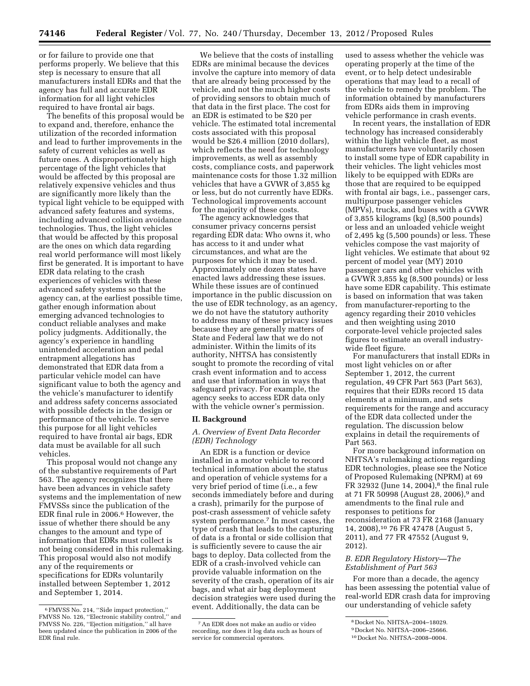or for failure to provide one that performs properly. We believe that this step is necessary to ensure that all manufacturers install EDRs and that the agency has full and accurate EDR information for all light vehicles required to have frontal air bags.

The benefits of this proposal would be to expand and, therefore, enhance the utilization of the recorded information and lead to further improvements in the safety of current vehicles as well as future ones. A disproportionately high percentage of the light vehicles that would be affected by this proposal are relatively expensive vehicles and thus are significantly more likely than the typical light vehicle to be equipped with advanced safety features and systems, including advanced collision avoidance technologies. Thus, the light vehicles that would be affected by this proposal are the ones on which data regarding real world performance will most likely first be generated. It is important to have EDR data relating to the crash experiences of vehicles with these advanced safety systems so that the agency can, at the earliest possible time, gather enough information about emerging advanced technologies to conduct reliable analyses and make policy judgments. Additionally, the agency's experience in handling unintended acceleration and pedal entrapment allegations has demonstrated that EDR data from a particular vehicle model can have significant value to both the agency and the vehicle's manufacturer to identify and address safety concerns associated with possible defects in the design or performance of the vehicle. To serve this purpose for all light vehicles required to have frontal air bags, EDR data must be available for all such vehicles.

This proposal would not change any of the substantive requirements of Part 563. The agency recognizes that there have been advances in vehicle safety systems and the implementation of new FMVSSs since the publication of the EDR final rule in 2006.6 However, the issue of whether there should be any changes to the amount and type of information that EDRs must collect is not being considered in this rulemaking. This proposal would also not modify any of the requirements or specifications for EDRs voluntarily installed between September 1, 2012 and September 1, 2014.

We believe that the costs of installing EDRs are minimal because the devices involve the capture into memory of data that are already being processed by the vehicle, and not the much higher costs of providing sensors to obtain much of that data in the first place. The cost for an EDR is estimated to be \$20 per vehicle. The estimated total incremental costs associated with this proposal would be \$26.4 million (2010 dollars), which reflects the need for technology improvements, as well as assembly costs, compliance costs, and paperwork maintenance costs for those 1.32 million vehicles that have a GVWR of 3,855 kg or less, but do not currently have EDRs. Technological improvements account for the majority of these costs.

The agency acknowledges that consumer privacy concerns persist regarding EDR data: Who owns it, who has access to it and under what circumstances, and what are the purposes for which it may be used. Approximately one dozen states have enacted laws addressing these issues. While these issues are of continued importance in the public discussion on the use of EDR technology, as an agency, we do not have the statutory authority to address many of these privacy issues because they are generally matters of State and Federal law that we do not administer. Within the limits of its authority, NHTSA has consistently sought to promote the recording of vital crash event information and to access and use that information in ways that safeguard privacy. For example, the agency seeks to access EDR data only with the vehicle owner's permission.

#### **II. Background**

# *A. Overview of Event Data Recorder (EDR) Technology*

An EDR is a function or device installed in a motor vehicle to record technical information about the status and operation of vehicle systems for a very brief period of time (i.e., a few seconds immediately before and during a crash), primarily for the purpose of post-crash assessment of vehicle safety system performance.7 In most cases, the type of crash that leads to the capturing of data is a frontal or side collision that is sufficiently severe to cause the air bags to deploy. Data collected from the EDR of a crash-involved vehicle can provide valuable information on the severity of the crash, operation of its air bags, and what air bag deployment decision strategies were used during the event. Additionally, the data can be

used to assess whether the vehicle was operating properly at the time of the event, or to help detect undesirable operations that may lead to a recall of the vehicle to remedy the problem. The information obtained by manufacturers from EDRs aids them in improving vehicle performance in crash events.

In recent years, the installation of EDR technology has increased considerably within the light vehicle fleet, as most manufacturers have voluntarily chosen to install some type of EDR capability in their vehicles. The light vehicles most likely to be equipped with EDRs are those that are required to be equipped with frontal air bags, i.e., passenger cars, multipurpose passenger vehicles (MPVs), trucks, and buses with a GVWR of 3,855 kilograms (kg) (8,500 pounds) or less and an unloaded vehicle weight of 2,495 kg (5,500 pounds) or less. These vehicles compose the vast majority of light vehicles. We estimate that about 92 percent of model year (MY) 2010 passenger cars and other vehicles with a GVWR 3,855 kg (8,500 pounds) or less have some EDR capability. This estimate is based on information that was taken from manufacturer-reporting to the agency regarding their 2010 vehicles and then weighting using 2010 corporate-level vehicle projected sales figures to estimate an overall industrywide fleet figure.

For manufacturers that install EDRs in most light vehicles on or after September 1, 2012, the current regulation, 49 CFR Part 563 (Part 563), requires that their EDRs record 15 data elements at a minimum, and sets requirements for the range and accuracy of the EDR data collected under the regulation. The discussion below explains in detail the requirements of Part 563.

For more background information on NHTSA's rulemaking actions regarding EDR technologies, please see the Notice of Proposed Rulemaking (NPRM) at 69 FR 32932 (June 14, 2004),<sup>8</sup> the final rule at 71 FR 50998 (August 28, 2006),9 and amendments to the final rule and responses to petitions for reconsideration at 73 FR 2168 (January 14, 2008),10 76 FR 47478 (August 5, 2011), and 77 FR 47552 (August 9, 2012).

# *B. EDR Regulatory History—The Establishment of Part 563*

For more than a decade, the agency has been assessing the potential value of real-world EDR crash data for improving our understanding of vehicle safety

<sup>6</sup>FMVSS No. 214, ''Side impact protection,'' FMVSS No. 126, ''Electronic stability control,'' and FMVSS No. 226, ''Ejection mitigation,'' all have been updated since the publication in 2006 of the EDR final rule.

<sup>7</sup>An EDR does not make an audio or video recording, nor does it log data such as hours of service for commercial operators.

<sup>8</sup> Docket No. NHTSA–2004–18029.

<sup>9</sup> Docket No. NHTSA–2006–25666.

<sup>10</sup> Docket No. NHTSA–2008–0004.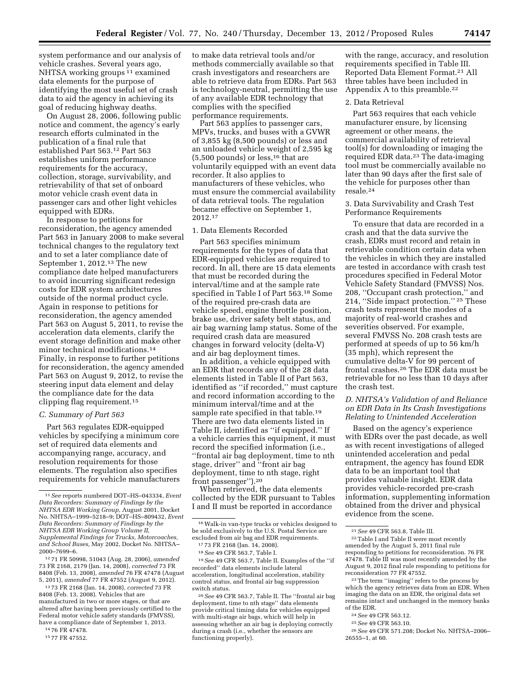system performance and our analysis of vehicle crashes. Several years ago, NHTSA working groups 11 examined data elements for the purpose of identifying the most useful set of crash data to aid the agency in achieving its goal of reducing highway deaths.

On August 28, 2006, following public notice and comment, the agency's early research efforts culminated in the publication of a final rule that established Part 563.12 Part 563 establishes uniform performance requirements for the accuracy, collection, storage, survivability, and retrievability of that set of onboard motor vehicle crash event data in passenger cars and other light vehicles equipped with EDRs.

In response to petitions for reconsideration, the agency amended Part 563 in January 2008 to make several technical changes to the regulatory text and to set a later compliance date of September 1, 2012.<sup>13</sup> The new compliance date helped manufacturers to avoid incurring significant redesign costs for EDR system architectures outside of the normal product cycle. Again in response to petitions for reconsideration, the agency amended Part 563 on August 5, 2011, to revise the acceleration data elements, clarify the event storage definition and make other minor technical modifications.<sup>14</sup> Finally, in response to further petitions for reconsideration, the agency amended Part 563 on August 9, 2012, to revise the steering input data element and delay the compliance date for the data clipping flag requirement.15

#### *C. Summary of Part 563*

Part 563 regulates EDR-equipped vehicles by specifying a minimum core set of required data elements and accompanying range, accuracy, and resolution requirements for those elements. The regulation also specifies requirements for vehicle manufacturers

12 71 FR 50998, 51043 (Aug. 28, 2006), *amended*  73 FR 2168, 2179 (Jan. 14, 2008), *corrected* 73 FR 8408 (Feb. 13, 2008), *amended* 76 FR 47478 (August 5, 2011), *amended* 77 FR 47552 (August 9, 2012).

13 73 FR 2168 (Jan. 14, 2008), *corrected* 73 FR 8408 (Feb. 13, 2008). Vehicles that are manufactured in two or more stages, or that are altered after having been previously certified to the Federal motor vehicle safety standards (FMVSS), have a compliance date of September 1, 2013.

14 76 FR 47478.

15 77 FR 47552.

to make data retrieval tools and/or methods commercially available so that crash investigators and researchers are able to retrieve data from EDRs. Part 563 is technology-neutral, permitting the use of any available EDR technology that complies with the specified performance requirements.

Part 563 applies to passenger cars, MPVs, trucks, and buses with a GVWR of 3,855 kg (8,500 pounds) or less and an unloaded vehicle weight of 2,595 kg  $(5,500$  pounds) or less,<sup>16</sup> that are voluntarily equipped with an event data recorder. It also applies to manufacturers of these vehicles, who must ensure the commercial availability of data retrieval tools. The regulation became effective on September 1, 2012.17

### 1. Data Elements Recorded

Part 563 specifies minimum requirements for the types of data that EDR-equipped vehicles are required to record. In all, there are 15 data elements that must be recorded during the interval/time and at the sample rate specified in Table I of Part 563.18 Some of the required pre-crash data are vehicle speed, engine throttle position, brake use, driver safety belt status, and air bag warning lamp status. Some of the required crash data are measured changes in forward velocity (delta-V) and air bag deployment times.

In addition, a vehicle equipped with an EDR that records any of the 28 data elements listed in Table II of Part 563, identified as ''if recorded,'' must capture and record information according to the minimum interval/time and at the sample rate specified in that table.<sup>19</sup> There are two data elements listed in Table II, identified as ''if equipped.'' If a vehicle carries this equipment, it must record the specified information (i.e., ''frontal air bag deployment, time to nth stage, driver'' and ''front air bag deployment, time to nth stage, right front passenger'').20

When retrieved, the data elements collected by the EDR pursuant to Tables I and II must be reported in accordance

18*See* 49 CFR 563.7, Table I.

19*See* 49 CFR 563.7, Table II. Examples of the ''if recorded'' data elements include lateral acceleration, longitudinal acceleration, stability control status, and frontal air bag suppression switch status.

20*See* 49 CFR 563.7, Table II. The ''frontal air bag deployment, time to nth stage'' data elements provide critical timing data for vehicles equipped with multi-stage air bags, which will help in assessing whether an air bag is deploying correctly during a crash (i.e., whether the sensors are functioning properly).

with the range, accuracy, and resolution requirements specified in Table III. Reported Data Element Format.21 All three tables have been included in Appendix A to this preamble.22

## 2. Data Retrieval

Part 563 requires that each vehicle manufacturer ensure, by licensing agreement or other means, the commercial availability of retrieval tool(s) for downloading or imaging the required EDR data.23 The data-imaging tool must be commercially available no later than 90 days after the first sale of the vehicle for purposes other than resale.24

3. Data Survivability and Crash Test Performance Requirements

To ensure that data are recorded in a crash and that the data survive the crash, EDRs must record and retain in retrievable condition certain data when the vehicles in which they are installed are tested in accordance with crash test procedures specified in Federal Motor Vehicle Safety Standard (FMVSS) Nos. 208, ''Occupant crash protection,'' and 214, ''Side impact protection.'' 25 These crash tests represent the modes of a majority of real-world crashes and severities observed. For example, several FMVSS No. 208 crash tests are performed at speeds of up to 56 km/h (35 mph), which represent the cumulative delta-V for 99 percent of frontal crashes.26 The EDR data must be retrievable for no less than 10 days after the crash test.

# *D. NHTSA's Validation of and Reliance on EDR Data in Its Crash Investigations Relating to Unintended Acceleration*

Based on the agency's experience with EDRs over the past decade, as well as with recent investigations of alleged unintended acceleration and pedal entrapment, the agency has found EDR data to be an important tool that provides valuable insight. EDR data provides vehicle-recorded pre-crash information, supplementing information obtained from the driver and physical evidence from the scene.

- 24*See* 49 CFR 563.12.
- 25*See* 49 CFR 563.10.

<sup>11</sup>*See* reports numbered DOT–HS–043334, *Event Data Recorders: Summary of Findings by the NHTSA EDR Working Group,* August 2001, Docket No. NHTSA–1999–5218–9; DOT–HS–809432, *Event Data Recorders: Summary of Findings by the NHTSA EDR Working Group Volume II, Supplemental Findings for Trucks, Motorcoaches, and School Buses,* May 2002, Docket No. NHTSA– 2000–7699–6.

<sup>16</sup>Walk-in van-type trucks or vehicles designed to be sold exclusively to the U.S. Postal Service are excluded from air bag and EDR requirements.

<sup>17</sup> 73 FR 2168 (Jan. 14, 2008).

<sup>21</sup>*See* 49 CFR 563.8, Table III. 22Table I and Table II were most recently amended by the August 5, 2011 final rule responding to petitions for reconsideration. 76 FR 47478. Table III was most recently amended by the August 9, 2012 final rule responding to petitions for reconsideration 77 FR 47552.

<sup>23</sup>The term ''imaging'' refers to the process by which the agency retrieves data from an EDR. When imaging the data on an EDR, the original data set remains intact and unchanged in the memory banks of the EDR.

<sup>26</sup>*See* 49 CFR 571.208; Docket No. NHTSA–2006– 26555–1, at 60.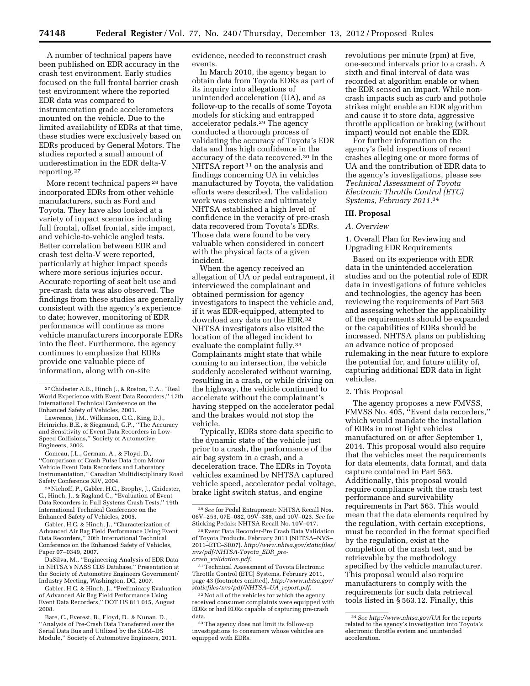A number of technical papers have been published on EDR accuracy in the crash test environment. Early studies focused on the full frontal barrier crash test environment where the reported EDR data was compared to instrumentation grade accelerometers mounted on the vehicle. Due to the limited availability of EDRs at that time, these studies were exclusively based on EDRs produced by General Motors. The studies reported a small amount of underestimation in the EDR delta-V reporting.27

More recent technical papers 28 have incorporated EDRs from other vehicle manufacturers, such as Ford and Toyota. They have also looked at a variety of impact scenarios including full frontal, offset frontal, side impact, and vehicle-to-vehicle angled tests. Better correlation between EDR and crash test delta-V were reported, particularly at higher impact speeds where more serious injuries occur. Accurate reporting of seat belt use and pre-crash data was also observed. The findings from these studies are generally consistent with the agency's experience to date; however, monitoring of EDR performance will continue as more vehicle manufacturers incorporate EDRs into the fleet. Furthermore, the agency continues to emphasize that EDRs provide one valuable piece of information, along with on-site

Comeau, J.L., German, A., & Floyd, D., ''Comparison of Crash Pulse Data from Motor Vehicle Event Data Recorders and Laboratory Instrumentation,'' Canadian Multidisciplinary Road Safety Conference XIV, 2004.

28Niehoff, P., Gabler, H.C., Brophy, J., Chidester, C., Hinch, J., & Ragland C., ''Evaluation of Event Data Recorders in Full Systems Crash Tests,'' 19th International Technical Conference on the Enhanced Safety of Vehicles, 2005.

Gabler, H.C. & Hinch, J., ''Characterization of Advanced Air Bag Field Performance Using Event Data Recorders,'' 20th International Technical Conference on the Enhanced Safety of Vehicles, Paper 07–0349, 2007.

DaSilva, M., ''Engineering Analysis of EDR Data in NHTSA's NASS CDS Database,'' Presentation at the Society of Automotive Engineers Government/ Industry Meeting, Washington, DC, 2007.

Gabler, H.C. & Hinch, J., ''Preliminary Evaluation of Advanced Air Bag Field Performance Using Event Data Recorders,'' DOT HS 811 015, August 2008.

Bare, C., Everest, B., Floyd, D., & Nunan, D., ''Analysis of Pre-Crash Data Transferred over the Serial Data Bus and Utilized by the SDM–DS Module,'' Society of Automotive Engineers, 2011. evidence, needed to reconstruct crash events.

In March 2010, the agency began to obtain data from Toyota EDRs as part of its inquiry into allegations of unintended acceleration (UA), and as follow-up to the recalls of some Toyota models for sticking and entrapped accelerator pedals.29 The agency conducted a thorough process of validating the accuracy of Toyota's EDR data and has high confidence in the accuracy of the data recovered.30 In the NHTSA report<sup>31</sup> on the analysis and findings concerning UA in vehicles manufactured by Toyota, the validation efforts were described. The validation work was extensive and ultimately NHTSA established a high level of confidence in the veracity of pre-crash data recovered from Toyota's EDRs. Those data were found to be very valuable when considered in concert with the physical facts of a given incident.

When the agency received an allegation of UA or pedal entrapment, it interviewed the complainant and obtained permission for agency investigators to inspect the vehicle and, if it was EDR-equipped, attempted to download any data on the EDR.32 NHTSA investigators also visited the location of the alleged incident to evaluate the complaint fully.<sup>33</sup> Complainants might state that while coming to an intersection, the vehicle suddenly accelerated without warning, resulting in a crash, or while driving on the highway, the vehicle continued to accelerate without the complainant's having stepped on the accelerator pedal and the brakes would not stop the vehicle.

Typically, EDRs store data specific to the dynamic state of the vehicle just prior to a crash, the performance of the air bag system in a crash, and a deceleration trace. The EDRs in Toyota vehicles examined by NHTSA captured vehicle speed, accelerator pedal voltage, brake light switch status, and engine

31Technical Assessment of Toyota Electronic Throttle Control (ETC) Systems, February 2011, page 43 (footnotes omitted). *[http://www.nhtsa.gov/](http://www.nhtsa.gov/staticfiles/nvs/pdf/NHTSA-UA_report.pdf) [staticfiles/nvs/pdf/NHTSA–UA](http://www.nhtsa.gov/staticfiles/nvs/pdf/NHTSA-UA_report.pdf)*\_*report.pdf.* 

32Not all of the vehicles for which the agency received consumer complaints were equipped with EDRs or had EDRs capable of capturing pre-crash data.

33The agency does not limit its follow-up investigations to consumers whose vehicles are equipped with EDRs.

revolutions per minute (rpm) at five, one-second intervals prior to a crash. A sixth and final interval of data was recorded at algorithm enable or when the EDR sensed an impact. While noncrash impacts such as curb and pothole strikes might enable an EDR algorithm and cause it to store data, aggressive throttle application or braking (without impact) would not enable the EDR.

For further information on the agency's field inspections of recent crashes alleging one or more forms of UA and the contribution of EDR data to the agency's investigations, please see *Technical Assessment of Toyota Electronic Throttle Control (ETC) Systems, February 2011.*34

# **III. Proposal**

#### *A. Overview*

1. Overall Plan for Reviewing and Upgrading EDR Requirements

Based on its experience with EDR data in the unintended acceleration studies and on the potential role of EDR data in investigations of future vehicles and technologies, the agency has been reviewing the requirements of Part 563 and assessing whether the applicability of the requirements should be expanded or the capabilities of EDRs should be increased. NHTSA plans on publishing an advance notice of proposed rulemaking in the near future to explore the potential for, and future utility of, capturing additional EDR data in light vehicles.

#### 2. This Proposal

The agency proposes a new FMVSS, FMVSS No. 405, ''Event data recorders,'' which would mandate the installation of EDRs in most light vehicles manufactured on or after September 1, 2014. This proposal would also require that the vehicles meet the requirements for data elements, data format, and data capture contained in Part 563. Additionally, this proposal would require compliance with the crash test performance and survivability requirements in Part 563. This would mean that the data elements required by the regulation, with certain exceptions, must be recorded in the format specified by the regulation, exist at the completion of the crash test, and be retrievable by the methodology specified by the vehicle manufacturer. This proposal would also require manufacturers to comply with the requirements for such data retrieval tools listed in § 563.12. Finally, this

<sup>27</sup>Chidester A.B., Hinch J., & Roston, T.A., ''Real World Experience with Event Data Recorders,'' 17th International Technical Conference on the Enhanced Safety of Vehicles, 2001.

Lawrence, J.M., Wilkinson, C.C., King, D.J., Heinrichs, B.E., & Siegmund, G.P., ''The Accuracy and Sensitivity of Event Data Recorders in Low-Speed Collisions,'' Society of Automotive Engineers, 2003.

<sup>29</sup>*See* for Pedal Entrapment: NHTSA Recall Nos. 06V–253, 07E–082, 09V–388, and 10V–023. *See* for Sticking Pedals: NHTSA Recall No. 10V–017.

<sup>30</sup>Event Data Recorder-Pre Crash Data Validation of Toyota Products. February 2011 (NHTSA–NVS– 2011–ETC–SR07). *[http://www.nhtsa.gov/staticfiles/](http://www.nhtsa.gov/staticfiles/nvs/pdf/NHTSA-Toyota_EDR_pre-crash_validation.pdf) [nvs/pdf/NHTSA-Toyota](http://www.nhtsa.gov/staticfiles/nvs/pdf/NHTSA-Toyota_EDR_pre-crash_validation.pdf)*\_*EDR*\_*precrash*\_*[validation.pdf.](http://www.nhtsa.gov/staticfiles/nvs/pdf/NHTSA-Toyota_EDR_pre-crash_validation.pdf)* 

<sup>34</sup>*See<http://www.nhtsa.gov/UA>* for the reports related to the agency's investigation into Toyota's electronic throttle system and unintended acceleration.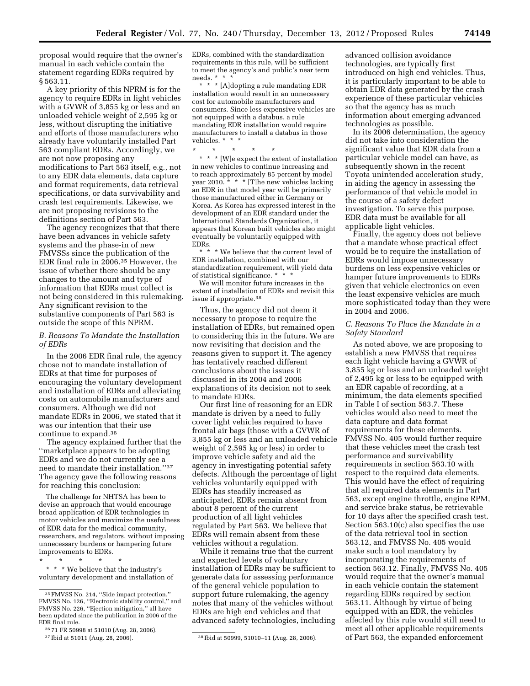proposal would require that the owner's manual in each vehicle contain the statement regarding EDRs required by § 563.11.

A key priority of this NPRM is for the agency to require EDRs in light vehicles with a GVWR of 3,855 kg or less and an unloaded vehicle weight of 2,595 kg or less, without disrupting the initiative and efforts of those manufacturers who already have voluntarily installed Part 563 compliant EDRs. Accordingly, we are not now proposing any modifications to Part 563 itself, e.g., not to any EDR data elements, data capture and format requirements, data retrieval specifications, or data survivability and crash test requirements. Likewise, we are not proposing revisions to the definitions section of Part 563.

The agency recognizes that that there have been advances in vehicle safety systems and the phase-in of new FMVSSs since the publication of the EDR final rule in 2006.35 However, the issue of whether there should be any changes to the amount and type of information that EDRs must collect is not being considered in this rulemaking. Any significant revision to the substantive components of Part 563 is outside the scope of this NPRM.

# *B. Reasons To Mandate the Installation of EDRs*

In the 2006 EDR final rule, the agency chose not to mandate installation of EDRs at that time for purposes of encouraging the voluntary development and installation of EDRs and alleviating costs on automobile manufacturers and consumers. Although we did not mandate EDRs in 2006, we stated that it was our intention that their use continue to expand.36

The agency explained further that the ''marketplace appears to be adopting EDRs and we do not currently see a need to mandate their installation.''37 The agency gave the following reasons for reaching this conclusion:

The challenge for NHTSA has been to devise an approach that would encourage broad application of EDR technologies in motor vehicles and maximize the usefulness of EDR data for the medical community, researchers, and regulators, without imposing unnecessary burdens or hampering future improvements to EDRs.

\* \* \* We believe that the industry's voluntary development and installation of

36 71 FR 50998 at 51010 (Aug. 28, 2006).

\* \* \* \* \*

EDRs, combined with the standardization requirements in this rule, will be sufficient to meet the agency's and public's near term needs. \* \* \*

\* \* \* [A]dopting a rule mandating EDR installation would result in an unnecessary cost for automobile manufacturers and consumers. Since less expensive vehicles are not equipped with a databus, a rule mandating EDR installation would require manufacturers to install a databus in those vehicles. \* \* \*

\* \* \* \* \*

\* \* \* [W]e expect the extent of installation in new vehicles to continue increasing and to reach approximately 85 percent by model year 2010. \* \* \* [T]he new vehicles lacking an EDR in that model year will be primarily those manufactured either in Germany or Korea. As Korea has expressed interest in the development of an EDR standard under the International Standards Organization, it appears that Korean built vehicles also might eventually be voluntarily equipped with EDRs.

\* \* \* We believe that the current level of EDR installation, combined with our standardization requirement, will yield data of statistical significance. \* \* \*

We will monitor future increases in the extent of installation of EDRs and revisit this issue if appropriate.38

Thus, the agency did not deem it necessary to propose to require the installation of EDRs, but remained open to considering this in the future. We are now revisiting that decision and the reasons given to support it. The agency has tentatively reached different conclusions about the issues it discussed in its 2004 and 2006 explanations of its decision not to seek to mandate EDRs.

Our first line of reasoning for an EDR mandate is driven by a need to fully cover light vehicles required to have frontal air bags (those with a GVWR of 3,855 kg or less and an unloaded vehicle weight of 2,595 kg or less) in order to improve vehicle safety and aid the agency in investigating potential safety defects. Although the percentage of light vehicles voluntarily equipped with EDRs has steadily increased as anticipated, EDRs remain absent from about 8 percent of the current production of all light vehicles regulated by Part 563. We believe that EDRs will remain absent from these vehicles without a regulation.

While it remains true that the current and expected levels of voluntary installation of EDRs may be sufficient to generate data for assessing performance of the general vehicle population to support future rulemaking, the agency notes that many of the vehicles without EDRs are high end vehicles and that advanced safety technologies, including

advanced collision avoidance technologies, are typically first introduced on high end vehicles. Thus, it is particularly important to be able to obtain EDR data generated by the crash experience of these particular vehicles so that the agency has as much information about emerging advanced technologies as possible.

In its 2006 determination, the agency did not take into consideration the significant value that EDR data from a particular vehicle model can have, as subsequently shown in the recent Toyota unintended acceleration study, in aiding the agency in assessing the performance of that vehicle model in the course of a safety defect investigation. To serve this purpose, EDR data must be available for all applicable light vehicles.

Finally, the agency does not believe that a mandate whose practical effect would be to require the installation of EDRs would impose unnecessary burdens on less expensive vehicles or hamper future improvements to EDRs given that vehicle electronics on even the least expensive vehicles are much more sophisticated today than they were in 2004 and 2006.

## *C. Reasons To Place the Mandate in a Safety Standard*

As noted above, we are proposing to establish a new FMVSS that requires each light vehicle having a GVWR of 3,855 kg or less and an unloaded weight of 2,495 kg or less to be equipped with an EDR capable of recording, at a minimum, the data elements specified in Table I of section 563.7. These vehicles would also need to meet the data capture and data format requirements for these elements. FMVSS No. 405 would further require that these vehicles meet the crash test performance and survivability requirements in section 563.10 with respect to the required data elements. This would have the effect of requiring that all required data elements in Part 563, except engine throttle, engine RPM, and service brake status, be retrievable for 10 days after the specified crash test. Section 563.10(c) also specifies the use of the data retrieval tool in section 563.12, and FMVSS No. 405 would make such a tool mandatory by incorporating the requirements of section 563.12. Finally, FMVSS No. 405 would require that the owner's manual in each vehicle contain the statement regarding EDRs required by section 563.11. Although by virtue of being equipped with an EDR, the vehicles affected by this rule would still need to meet all other applicable requirements of Part 563, the expanded enforcement

<sup>35</sup>FMVSS No. 214, ''Side impact protection,'' FMVSS No. 126, ''Electronic stability control,'' and FMVSS No. 226, ''Ejection mitigation,'' all have been updated since the publication in 2006 of the EDR final rule.

<sup>37</sup> Ibid at 51011 (Aug. 28, 2006). 38 Ibid at 50999, 51010–11 (Aug. 28, 2006).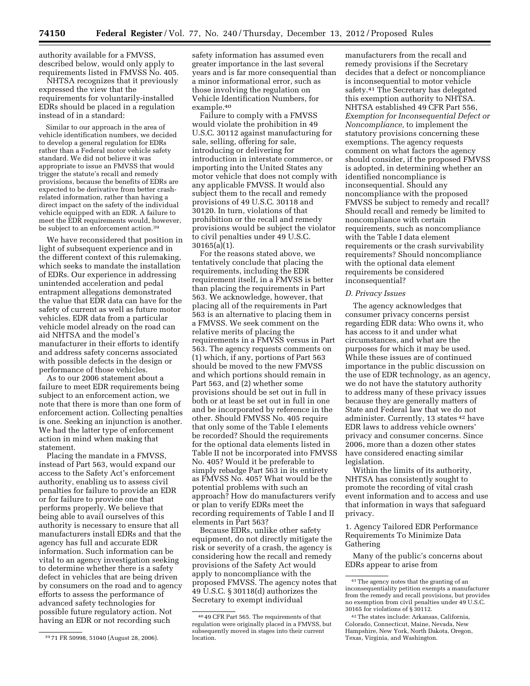authority available for a FMVSS, described below, would only apply to requirements listed in FMVSS No. 405.

NHTSA recognizes that it previously expressed the view that the requirements for voluntarily-installed EDRs should be placed in a regulation instead of in a standard:

Similar to our approach in the area of vehicle identification numbers, we decided to develop a general regulation for EDRs rather than a Federal motor vehicle safety standard. We did not believe it was appropriate to issue an FMVSS that would trigger the statute's recall and remedy provisions, because the benefits of EDRs are expected to be derivative from better crashrelated information, rather than having a direct impact on the safety of the individual vehicle equipped with an EDR. A failure to meet the EDR requirements would, however, be subject to an enforcement action.<sup>39</sup>

We have reconsidered that position in light of subsequent experience and in the different context of this rulemaking, which seeks to mandate the installation of EDRs. Our experience in addressing unintended acceleration and pedal entrapment allegations demonstrated the value that EDR data can have for the safety of current as well as future motor vehicles. EDR data from a particular vehicle model already on the road can aid NHTSA and the model's manufacturer in their efforts to identify and address safety concerns associated with possible defects in the design or performance of those vehicles.

As to our 2006 statement about a failure to meet EDR requirements being subject to an enforcement action, we note that there is more than one form of enforcement action. Collecting penalties is one. Seeking an injunction is another. We had the latter type of enforcement action in mind when making that statement.

Placing the mandate in a FMVSS, instead of Part 563, would expand our access to the Safety Act's enforcement authority, enabling us to assess civil penalties for failure to provide an EDR or for failure to provide one that performs properly. We believe that being able to avail ourselves of this authority is necessary to ensure that all manufacturers install EDRs and that the agency has full and accurate EDR information. Such information can be vital to an agency investigation seeking to determine whether there is a safety defect in vehicles that are being driven by consumers on the road and to agency efforts to assess the performance of advanced safety technologies for possible future regulatory action. Not having an EDR or not recording such

safety information has assumed even greater importance in the last several years and is far more consequential than a minor informational error, such as those involving the regulation on Vehicle Identification Numbers, for example.40

Failure to comply with a FMVSS would violate the prohibition in 49 U.S.C. 30112 against manufacturing for sale, selling, offering for sale, introducing or delivering for introduction in interstate commerce, or importing into the United States any motor vehicle that does not comply with any applicable FMVSS. It would also subject them to the recall and remedy provisions of 49 U.S.C. 30118 and 30120. In turn, violations of that prohibition or the recall and remedy provisions would be subject the violator to civil penalties under 49 U.S.C. 30165(a)(1).

For the reasons stated above, we tentatively conclude that placing the requirements, including the EDR requirement itself, in a FMVSS is better than placing the requirements in Part 563. We acknowledge, however, that placing all of the requirements in Part 563 is an alternative to placing them in a FMVSS. We seek comment on the relative merits of placing the requirements in a FMVSS versus in Part 563. The agency requests comments on (1) which, if any, portions of Part 563 should be moved to the new FMVSS and which portions should remain in Part 563, and (2) whether some provisions should be set out in full in both or at least be set out in full in one and be incorporated by reference in the other. Should FMVSS No. 405 require that only some of the Table I elements be recorded? Should the requirements for the optional data elements listed in Table II not be incorporated into FMVSS No. 405? Would it be preferable to simply rebadge Part 563 in its entirety as FMVSS No. 405? What would be the potential problems with such an approach? How do manufacturers verify or plan to verify EDRs meet the recording requirements of Table I and II elements in Part 563?

Because EDRs, unlike other safety equipment, do not directly mitigate the risk or severity of a crash, the agency is considering how the recall and remedy provisions of the Safety Act would apply to noncompliance with the proposed FMVSS. The agency notes that 49 U.S.C. § 30118(d) authorizes the Secretary to exempt individual

manufacturers from the recall and remedy provisions if the Secretary decides that a defect or noncompliance is inconsequential to motor vehicle safety.41 The Secretary has delegated this exemption authority to NHTSA. NHTSA established 49 CFR Part 556, *Exemption for Inconsequential Defect or Noncompliance,* to implement the statutory provisions concerning these exemptions. The agency requests comment on what factors the agency should consider, if the proposed FMVSS is adopted, in determining whether an identified noncompliance is inconsequential. Should any noncompliance with the proposed FMVSS be subject to remedy and recall? Should recall and remedy be limited to noncompliance with certain requirements, such as noncompliance with the Table I data element requirements or the crash survivability requirements? Should noncompliance with the optional data element requirements be considered inconsequential?

## *D. Privacy Issues*

The agency acknowledges that consumer privacy concerns persist regarding EDR data: Who owns it, who has access to it and under what circumstances, and what are the purposes for which it may be used. While these issues are of continued importance in the public discussion on the use of EDR technology, as an agency, we do not have the statutory authority to address many of these privacy issues because they are generally matters of State and Federal law that we do not administer. Currently, 13 states 42 have EDR laws to address vehicle owners' privacy and consumer concerns. Since 2006, more than a dozen other states have considered enacting similar legislation.

Within the limits of its authority, NHTSA has consistently sought to promote the recording of vital crash event information and to access and use that information in ways that safeguard privacy.

1. Agency Tailored EDR Performance Requirements To Minimize Data Gathering

Many of the public's concerns about EDRs appear to arise from

<sup>39</sup> 71 FR 50998, 51040 (August 28, 2006).

<sup>40</sup> 49 CFR Part 565. The requirements of that regulation were originally placed in a FMVSS, but subsequently moved in stages into their current location.

<sup>41</sup>The agency notes that the granting of an inconsequentiality petition exempts a manufacturer from the remedy and recall provisions, but provides no exemption from civil penalties under 49 U.S.C. 30165 for violations of § 30112.

<sup>42</sup>The states include: Arkansas, California, Colorado, Connecticut, Maine, Nevada, New Hampshire, New York, North Dakota, Oregon, Texas, Virginia, and Washington.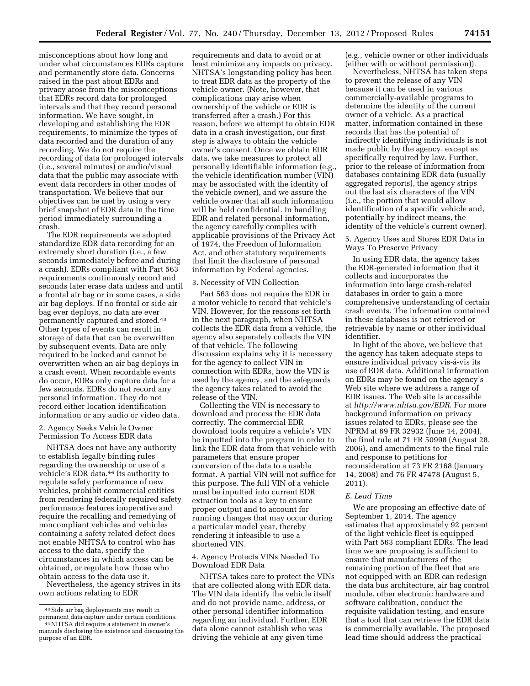misconceptions about how long and under what circumstances EDRs capture and permanently store data. Concerns raised in the past about EDRs and privacy arose from the misconceptions that EDRs record data for prolonged intervals and that they record personal information. We have sought, in developing and establishing the EDR requirements, to minimize the types of data recorded and the duration of any recording. We do not require the recording of data for prolonged intervals (i.e., several minutes) or audio/visual data that the public may associate with event data recorders in other modes of transportation. We believe that our objectives can be met by using a very brief snapshot of EDR data in the time period immediately surrounding a crash.

The EDR requirements we adopted standardize EDR data recording for an extremely short duration (i.e., a few seconds immediately before and during a crash). EDRs compliant with Part 563 requirements continuously record and seconds later erase data unless and until a frontal air bag or in some cases, a side air bag deploys. If no frontal or side air bag ever deploys, no data are ever permanently captured and stored.43 Other types of events can result in storage of data that can be overwritten by subsequent events. Data are only required to be locked and cannot be overwritten when an air bag deploys in a crash event. When recordable events do occur, EDRs only capture data for a few seconds. EDRs do not record any personal information. They do not record either location identification information or any audio or video data.

# 2. Agency Seeks Vehicle Owner Permission To Access EDR data

NHTSA does not have any authority to establish legally binding rules regarding the ownership or use of a vehicle's EDR data.44 Its authority to regulate safety performance of new vehicles, prohibit commercial entities from rendering federally required safety performance features inoperative and require the recalling and remedying of noncompliant vehicles and vehicles containing a safety related defect does not enable NHTSA to control who has access to the data, specify the circumstances in which access can be obtained, or regulate how those who obtain access to the data use it.

Nevertheless, the agency strives in its own actions relating to EDR

requirements and data to avoid or at least minimize any impacts on privacy. NHTSA's longstanding policy has been to treat EDR data as the property of the vehicle owner. (Note, however, that complications may arise when ownership of the vehicle or EDR is transferred after a crash.) For this reason, before we attempt to obtain EDR data in a crash investigation, our first step is always to obtain the vehicle owner's consent. Once we obtain EDR data, we take measures to protect all personally identifiable information (e.g., the vehicle identification number (VIN) may be associated with the identity of the vehicle owner), and we assure the vehicle owner that all such information will be held confidential. In handling EDR and related personal information, the agency carefully complies with applicable provisions of the Privacy Act of 1974, the Freedom of Information Act, and other statutory requirements that limit the disclosure of personal information by Federal agencies.

#### 3. Necessity of VIN Collection

Part 563 does not require the EDR in a motor vehicle to record that vehicle's VIN. However, for the reasons set forth in the next paragraph, when NHTSA collects the EDR data from a vehicle, the agency also separately collects the VIN of that vehicle. The following discussion explains why it is necessary for the agency to collect VIN in connection with EDRs, how the VIN is used by the agency, and the safeguards the agency takes related to avoid the release of the VIN.

Collecting the VIN is necessary to download and process the EDR data correctly. The commercial EDR download tools require a vehicle's VIN be inputted into the program in order to link the EDR data from that vehicle with parameters that ensure proper conversion of the data to a usable format. A partial VIN will not suffice for this purpose. The full VIN of a vehicle must be inputted into current EDR extraction tools as a key to ensure proper output and to account for running changes that may occur during a particular model year, thereby rendering it infeasible to use a shortened VIN.

# 4. Agency Protects VINs Needed To Download EDR Data

NHTSA takes care to protect the VINs that are collected along with EDR data. The VIN data identify the vehicle itself and do not provide name, address, or other personal identifier information regarding an individual. Further, EDR data alone cannot establish who was driving the vehicle at any given time

(e.g., vehicle owner or other individuals (either with or without permission)).

Nevertheless, NHTSA has taken steps to prevent the release of any VIN because it can be used in various commercially-available programs to determine the identity of the current owner of a vehicle. As a practical matter, information contained in these records that has the potential of indirectly identifying individuals is not made public by the agency, except as specifically required by law. Further, prior to the release of information from databases containing EDR data (usually aggregated reports), the agency strips out the last six characters of the VIN (i.e., the portion that would allow identification of a specific vehicle and, potentially by indirect means, the identity of the vehicle's current owner).

5. Agency Uses and Stores EDR Data in Ways To Preserve Privacy

In using EDR data, the agency takes the EDR-generated information that it collects and incorporates the information into large crash-related databases in order to gain a more comprehensive understanding of certain crash events. The information contained in these databases is not retrieved or retrievable by name or other individual identifier.

In light of the above, we believe that the agency has taken adequate steps to ensure individual privacy vis-á-vis its use of EDR data. Additional information on EDRs may be found on the agency's Web site where we address a range of EDR issues. The Web site is accessible at *<http://www.nhtsa.gov/EDR>*. For more background information on privacy issues related to EDRs, please see the NPRM at 69 FR 32932 (June 14, 2004), the final rule at 71 FR 50998 (August 28, 2006), and amendments to the final rule and response to petitions for reconsideration at 73 FR 2168 (January 14, 2008) and 76 FR 47478 (August 5, 2011).

### *E. Lead Time*

We are proposing an effective date of September 1, 2014. The agency estimates that approximately 92 percent of the light vehicle fleet is equipped with Part 563 compliant EDRs. The lead time we are proposing is sufficient to ensure that manufacturers of the remaining portion of the fleet that are not equipped with an EDR can redesign the data bus architecture, air bag control module, other electronic hardware and software calibration, conduct the requisite validation testing, and ensure that a tool that can retrieve the EDR data is commercially available. The proposed lead time should address the practical

<sup>43</sup>Side air bag deployments may result in permanent data capture under certain conditions. 44NHTSA did require a statement in owner's

manuals disclosing the existence and discussing the purpose of an EDR.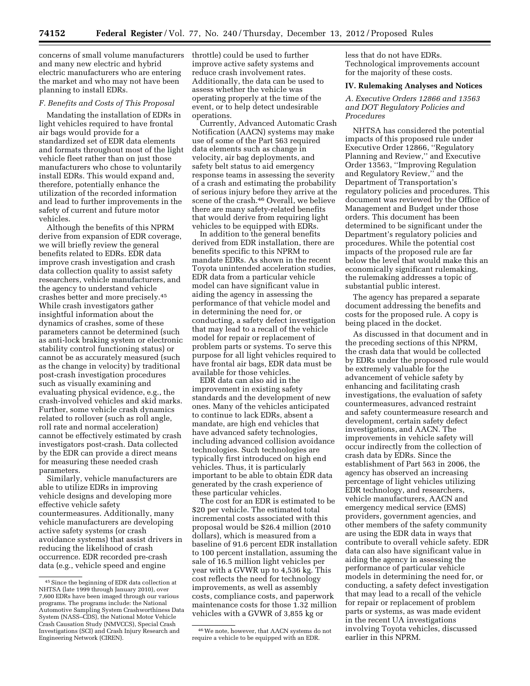concerns of small volume manufacturers and many new electric and hybrid electric manufacturers who are entering the market and who may not have been planning to install EDRs.

## *F. Benefits and Costs of This Proposal*

Mandating the installation of EDRs in light vehicles required to have frontal air bags would provide for a standardized set of EDR data elements and formats throughout most of the light vehicle fleet rather than on just those manufacturers who chose to voluntarily install EDRs. This would expand and, therefore, potentially enhance the utilization of the recorded information and lead to further improvements in the safety of current and future motor vehicles.

Although the benefits of this NPRM derive from expansion of EDR coverage, we will briefly review the general benefits related to EDRs. EDR data improve crash investigation and crash data collection quality to assist safety researchers, vehicle manufacturers, and the agency to understand vehicle crashes better and more precisely.45 While crash investigators gather insightful information about the dynamics of crashes, some of these parameters cannot be determined (such as anti-lock braking system or electronic stability control functioning status) or cannot be as accurately measured (such as the change in velocity) by traditional post-crash investigation procedures such as visually examining and evaluating physical evidence, e.g., the crash-involved vehicles and skid marks. Further, some vehicle crash dynamics related to rollover (such as roll angle, roll rate and normal acceleration) cannot be effectively estimated by crash investigators post-crash. Data collected by the EDR can provide a direct means for measuring these needed crash parameters.

Similarly, vehicle manufacturers are able to utilize EDRs in improving vehicle designs and developing more effective vehicle safety countermeasures. Additionally, many vehicle manufacturers are developing active safety systems (or crash avoidance systems) that assist drivers in reducing the likelihood of crash occurrence. EDR recorded pre-crash data (e.g., vehicle speed and engine

throttle) could be used to further improve active safety systems and reduce crash involvement rates. Additionally, the data can be used to assess whether the vehicle was operating properly at the time of the event, or to help detect undesirable operations.

Currently, Advanced Automatic Crash Notification (AACN) systems may make use of some of the Part 563 required data elements such as change in velocity, air bag deployments, and safety belt status to aid emergency response teams in assessing the severity of a crash and estimating the probability of serious injury before they arrive at the scene of the crash.46 Overall, we believe there are many safety-related benefits that would derive from requiring light vehicles to be equipped with EDRs.

In addition to the general benefits derived from EDR installation, there are benefits specific to this NPRM to mandate EDRs. As shown in the recent Toyota unintended acceleration studies, EDR data from a particular vehicle model can have significant value in aiding the agency in assessing the performance of that vehicle model and in determining the need for, or conducting, a safety defect investigation that may lead to a recall of the vehicle model for repair or replacement of problem parts or systems. To serve this purpose for all light vehicles required to have frontal air bags, EDR data must be available for those vehicles.

EDR data can also aid in the improvement in existing safety standards and the development of new ones. Many of the vehicles anticipated to continue to lack EDRs, absent a mandate, are high end vehicles that have advanced safety technologies, including advanced collision avoidance technologies. Such technologies are typically first introduced on high end vehicles. Thus, it is particularly important to be able to obtain EDR data generated by the crash experience of these particular vehicles.

The cost for an EDR is estimated to be \$20 per vehicle. The estimated total incremental costs associated with this proposal would be \$26.4 million (2010 dollars), which is measured from a baseline of 91.6 percent EDR installation to 100 percent installation, assuming the sale of 16.5 million light vehicles per year with a GVWR up to 4,536 kg. This cost reflects the need for technology improvements, as well as assembly costs, compliance costs, and paperwork maintenance costs for those 1.32 million vehicles with a GVWR of 3,855 kg or

less that do not have EDRs. Technological improvements account for the majority of these costs.

#### **IV. Rulemaking Analyses and Notices**

*A. Executive Orders 12866 and 13563 and DOT Regulatory Policies and Procedures* 

NHTSA has considered the potential impacts of this proposed rule under Executive Order 12866, ''Regulatory Planning and Review,'' and Executive Order 13563, ''Improving Regulation and Regulatory Review,'' and the Department of Transportation's regulatory policies and procedures. This document was reviewed by the Office of Management and Budget under those orders. This document has been determined to be significant under the Department's regulatory policies and procedures. While the potential cost impacts of the proposed rule are far below the level that would make this an economically significant rulemaking, the rulemaking addresses a topic of substantial public interest.

The agency has prepared a separate document addressing the benefits and costs for the proposed rule. A copy is being placed in the docket.

As discussed in that document and in the preceding sections of this NPRM, the crash data that would be collected by EDRs under the proposed rule would be extremely valuable for the advancement of vehicle safety by enhancing and facilitating crash investigations, the evaluation of safety countermeasures, advanced restraint and safety countermeasure research and development, certain safety defect investigations, and AACN. The improvements in vehicle safety will occur indirectly from the collection of crash data by EDRs. Since the establishment of Part 563 in 2006, the agency has observed an increasing percentage of light vehicles utilizing EDR technology, and researchers, vehicle manufacturers, AACN and emergency medical service (EMS) providers, government agencies, and other members of the safety community are using the EDR data in ways that contribute to overall vehicle safety. EDR data can also have significant value in aiding the agency in assessing the performance of particular vehicle models in determining the need for, or conducting, a safety defect investigation that may lead to a recall of the vehicle for repair or replacement of problem parts or systems, as was made evident in the recent UA investigations involving Toyota vehicles, discussed earlier in this NPRM.

<sup>45</sup>Since the beginning of EDR data collection at NHTSA (late 1999 through January 2010), over 7,600 EDRs have been imaged through our various programs. The programs include: the National Automotive Sampling System Crashworthiness Data System (NASS–CDS), the National Motor Vehicle Crash Causation Study (NMVCCS), Special Crash Investigations (SCI) and Crash Injury Research and Engineering Network (CIREN).

<sup>46</sup>We note, however, that AACN systems do not require a vehicle to be equipped with an EDR.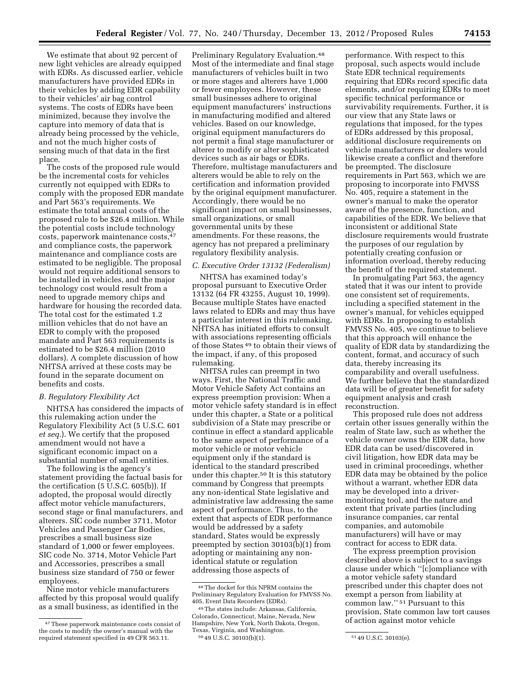We estimate that about 92 percent of new light vehicles are already equipped with EDRs. As discussed earlier, vehicle manufacturers have provided EDRs in their vehicles by adding EDR capability to their vehicles' air bag control systems. The costs of EDRs have been minimized, because they involve the capture into memory of data that is already being processed by the vehicle, and not the much higher costs of sensing much of that data in the first place.

The costs of the proposed rule would be the incremental costs for vehicles currently not equipped with EDRs to comply with the proposed EDR mandate and Part 563's requirements. We estimate the total annual costs of the proposed rule to be \$26.4 million. While the potential costs include technology costs, paperwork maintenance costs,47 and compliance costs, the paperwork maintenance and compliance costs are estimated to be negligible. The proposal would not require additional sensors to be installed in vehicles, and the major technology cost would result from a need to upgrade memory chips and hardware for housing the recorded data. The total cost for the estimated 1.2 million vehicles that do not have an EDR to comply with the proposed mandate and Part 563 requirements is estimated to be \$26.4 million (2010 dollars). A complete discussion of how NHTSA arrived at these costs may be found in the separate document on benefits and costs.

# *B. Regulatory Flexibility Act*

NHTSA has considered the impacts of this rulemaking action under the Regulatory Flexibility Act (5 U.S.C. 601 *et seq.*). We certify that the proposed amendment would not have a significant economic impact on a substantial number of small entities.

The following is the agency's statement providing the factual basis for the certification (5 U.S.C. 605(b)). If adopted, the proposal would directly affect motor vehicle manufacturers, second stage or final manufacturers, and alterers. SIC code number 3711, Motor Vehicles and Passenger Car Bodies, prescribes a small business size standard of 1,000 or fewer employees. SIC code No. 3714, Motor Vehicle Part and Accessories, prescribes a small business size standard of 750 or fewer employees.

Nine motor vehicle manufacturers affected by this proposal would qualify as a small business, as identified in the

Preliminary Regulatory Evaluation.48 Most of the intermediate and final stage manufacturers of vehicles built in two or more stages and alterers have 1,000 or fewer employees. However, these small businesses adhere to original equipment manufacturers' instructions in manufacturing modified and altered vehicles. Based on our knowledge, original equipment manufacturers do not permit a final stage manufacturer or alterer to modify or alter sophisticated devices such as air bags or EDRs. Therefore, multistage manufacturers and alterers would be able to rely on the certification and information provided by the original equipment manufacturer. Accordingly, there would be no significant impact on small businesses, small organizations, or small governmental units by these amendments. For these reasons, the agency has not prepared a preliminary regulatory flexibility analysis.

# *C. Executive Order 13132 (Federalism)*

NHTSA has examined today's proposal pursuant to Executive Order 13132 (64 FR 43255, August 10, 1999). Because multiple States have enacted laws related to EDRs and may thus have a particular interest in this rulemaking, NHTSA has initiated efforts to consult with associations representing officials of those States 49 to obtain their views of the impact, if any, of this proposed rulemaking.

NHTSA rules can preempt in two ways. First, the National Traffic and Motor Vehicle Safety Act contains an express preemption provision: When a motor vehicle safety standard is in effect under this chapter, a State or a political subdivision of a State may prescribe or continue in effect a standard applicable to the same aspect of performance of a motor vehicle or motor vehicle equipment only if the standard is identical to the standard prescribed under this chapter.50 It is this statutory command by Congress that preempts any non-identical State legislative and administrative law addressing the same aspect of performance. Thus, to the extent that aspects of EDR performance would be addressed by a safety standard, States would be expressly preempted by section 30103(b)(1) from adopting or maintaining any nonidentical statute or regulation addressing those aspects of

performance. With respect to this proposal, such aspects would include State EDR technical requirements requiring that EDRs record specific data elements, and/or requiring EDRs to meet specific technical performance or survivability requirements. Further, it is our view that any State laws or regulations that imposed, for the types of EDRs addressed by this proposal, additional disclosure requirements on vehicle manufacturers or dealers would likewise create a conflict and therefore be preempted. The disclosure requirements in Part 563, which we are proposing to incorporate into FMVSS No. 405, require a statement in the owner's manual to make the operator aware of the presence, function, and capabilities of the EDR. We believe that inconsistent or additional State disclosure requirements would frustrate the purposes of our regulation by potentially creating confusion or information overload, thereby reducing the benefit of the required statement.

In promulgating Part 563, the agency stated that it was our intent to provide one consistent set of requirements, including a specified statement in the owner's manual, for vehicles equipped with EDRs. In proposing to establish FMVSS No. 405, we continue to believe that this approach will enhance the quality of EDR data by standardizing the content, format, and accuracy of such data, thereby increasing its comparability and overall usefulness. We further believe that the standardized data will be of greater benefit for safety equipment analysis and crash reconstruction.

This proposed rule does not address certain other issues generally within the realm of State law, such as whether the vehicle owner owns the EDR data, how EDR data can be used/discovered in civil litigation, how EDR data may be used in criminal proceedings, whether EDR data may be obtained by the police without a warrant, whether EDR data may be developed into a drivermonitoring tool, and the nature and extent that private parties (including insurance companies, car rental companies, and automobile manufacturers) will have or may contract for access to EDR data.

The express preemption provision described above is subject to a savings clause under which ''[c]ompliance with a motor vehicle safety standard prescribed under this chapter does not exempt a person from liability at common law.'' 51 Pursuant to this provision, State common law tort causes of action against motor vehicle

<sup>47</sup>These paperwork maintenance costs consist of the costs to modify the owner's manual with the required statement specified in 49 CFR 563.11.

<sup>48</sup>The docket for this NPRM contains the Preliminary Regulatory Evaluation for FMVSS No. 405, Event Data Recorders (EDRs).

<sup>49</sup>The states include: Arkansas, California, Colorado, Connecticut, Maine, Nevada, New Hampshire, New York, North Dakota, Oregon, Texas, Virginia, and Washington. 50 49 U.S.C. 30103(b)(1). 51 49 U.S.C. 30103(e).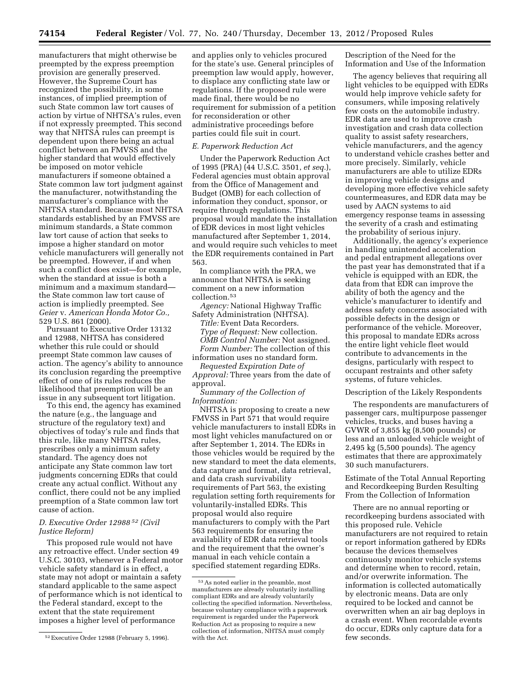manufacturers that might otherwise be preempted by the express preemption provision are generally preserved. However, the Supreme Court has recognized the possibility, in some instances, of implied preemption of such State common law tort causes of action by virtue of NHTSA's rules, even if not expressly preempted. This second way that NHTSA rules can preempt is dependent upon there being an actual conflict between an FMVSS and the higher standard that would effectively be imposed on motor vehicle manufacturers if someone obtained a State common law tort judgment against the manufacturer, notwithstanding the manufacturer's compliance with the NHTSA standard. Because most NHTSA standards established by an FMVSS are minimum standards, a State common law tort cause of action that seeks to impose a higher standard on motor vehicle manufacturers will generally not be preempted. However, if and when such a conflict does exist—for example, when the standard at issue is both a minimum and a maximum standard the State common law tort cause of action is impliedly preempted. See *Geier* v. *American Honda Motor Co.,*  529 U.S. 861 (2000).

Pursuant to Executive Order 13132 and 12988, NHTSA has considered whether this rule could or should preempt State common law causes of action. The agency's ability to announce its conclusion regarding the preemptive effect of one of its rules reduces the likelihood that preemption will be an issue in any subsequent tort litigation.

To this end, the agency has examined the nature (e.g., the language and structure of the regulatory text) and objectives of today's rule and finds that this rule, like many NHTSA rules, prescribes only a minimum safety standard. The agency does not anticipate any State common law tort judgments concerning EDRs that could create any actual conflict. Without any conflict, there could not be any implied preemption of a State common law tort cause of action.

# *D. Executive Order 12988 52 (Civil Justice Reform)*

This proposed rule would not have any retroactive effect. Under section 49 U.S.C. 30103, whenever a Federal motor vehicle safety standard is in effect, a state may not adopt or maintain a safety standard applicable to the same aspect of performance which is not identical to the Federal standard, except to the extent that the state requirement imposes a higher level of performance

and applies only to vehicles procured for the state's use. General principles of preemption law would apply, however, to displace any conflicting state law or regulations. If the proposed rule were made final, there would be no requirement for submission of a petition for reconsideration or other administrative proceedings before parties could file suit in court.

### *E. Paperwork Reduction Act*

Under the Paperwork Reduction Act of 1995 (PRA) (44 U.S.C. 3501, *et seq.*), Federal agencies must obtain approval from the Office of Management and Budget (OMB) for each collection of information they conduct, sponsor, or require through regulations. This proposal would mandate the installation of EDR devices in most light vehicles manufactured after September 1, 2014, and would require such vehicles to meet the EDR requirements contained in Part 563.

In compliance with the PRA, we announce that NHTSA is seeking comment on a new information collection.53

*Agency:* National Highway Traffic Safety Administration (NHTSA).

*Title:* Event Data Recorders. *Type of Request:* New collection. *OMB Control Number:* Not assigned. *Form Number:* The collection of this

information uses no standard form. *Requested Expiration Date of* 

*Approval:* Three years from the date of approval.

*Summary of the Collection of Information:* 

NHTSA is proposing to create a new FMVSS in Part 571 that would require vehicle manufacturers to install EDRs in most light vehicles manufactured on or after September 1, 2014. The EDRs in those vehicles would be required by the new standard to meet the data elements, data capture and format, data retrieval, and data crash survivability requirements of Part 563, the existing regulation setting forth requirements for voluntarily-installed EDRs. This proposal would also require manufacturers to comply with the Part 563 requirements for ensuring the availability of EDR data retrieval tools and the requirement that the owner's manual in each vehicle contain a specified statement regarding EDRs.

Description of the Need for the Information and Use of the Information

The agency believes that requiring all light vehicles to be equipped with EDRs would help improve vehicle safety for consumers, while imposing relatively few costs on the automobile industry. EDR data are used to improve crash investigation and crash data collection quality to assist safety researchers, vehicle manufacturers, and the agency to understand vehicle crashes better and more precisely. Similarly, vehicle manufacturers are able to utilize EDRs in improving vehicle designs and developing more effective vehicle safety countermeasures, and EDR data may be used by AACN systems to aid emergency response teams in assessing the severity of a crash and estimating the probability of serious injury.

Additionally, the agency's experience in handling unintended acceleration and pedal entrapment allegations over the past year has demonstrated that if a vehicle is equipped with an EDR, the data from that EDR can improve the ability of both the agency and the vehicle's manufacturer to identify and address safety concerns associated with possible defects in the design or performance of the vehicle. Moreover, this proposal to mandate EDRs across the entire light vehicle fleet would contribute to advancements in the designs, particularly with respect to occupant restraints and other safety systems, of future vehicles.

#### Description of the Likely Respondents

The respondents are manufacturers of passenger cars, multipurpose passenger vehicles, trucks, and buses having a GVWR of 3,855 kg (8,500 pounds) or less and an unloaded vehicle weight of 2,495 kg (5,500 pounds). The agency estimates that there are approximately 30 such manufacturers.

Estimate of the Total Annual Reporting and Recordkeeping Burden Resulting From the Collection of Information

There are no annual reporting or recordkeeping burdens associated with this proposed rule. Vehicle manufacturers are not required to retain or report information gathered by EDRs because the devices themselves continuously monitor vehicle systems and determine when to record, retain, and/or overwrite information. The information is collected automatically by electronic means. Data are only required to be locked and cannot be overwritten when an air bag deploys in a crash event. When recordable events do occur, EDRs only capture data for a few seconds.

<sup>52</sup>Executive Order 12988 (February 5, 1996).

<sup>53</sup>As noted earlier in the preamble, most manufacturers are already voluntarily installing compliant EDRs and are already voluntarily collecting the specified information. Nevertheless, because voluntary compliance with a paperwork requirement is regarded under the Paperwork Reduction Act as proposing to require a new collection of information, NHTSA must comply with the Act.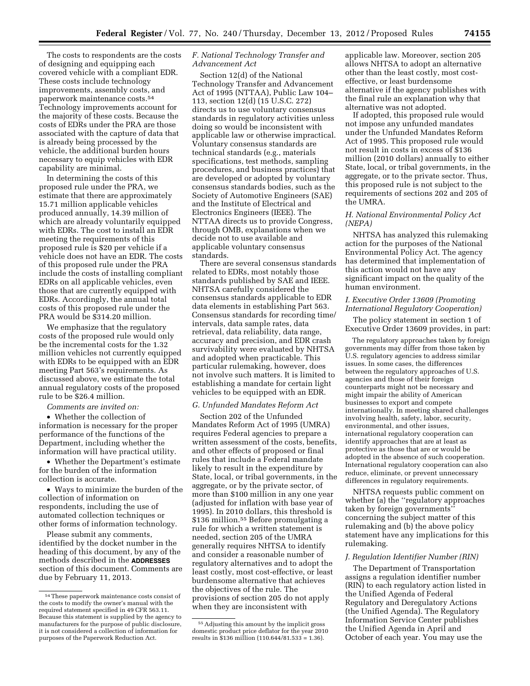The costs to respondents are the costs of designing and equipping each covered vehicle with a compliant EDR. These costs include technology improvements, assembly costs, and paperwork maintenance costs.54 Technology improvements account for the majority of these costs. Because the costs of EDRs under the PRA are those associated with the capture of data that is already being processed by the vehicle, the additional burden hours necessary to equip vehicles with EDR capability are minimal.

In determining the costs of this proposed rule under the PRA, we estimate that there are approximately 15.71 million applicable vehicles produced annually, 14.39 million of which are already voluntarily equipped with EDRs. The cost to install an EDR meeting the requirements of this proposed rule is \$20 per vehicle if a vehicle does not have an EDR. The costs of this proposed rule under the PRA include the costs of installing compliant EDRs on all applicable vehicles, even those that are currently equipped with EDRs. Accordingly, the annual total costs of this proposed rule under the PRA would be \$314.20 million.

We emphasize that the regulatory costs of the proposed rule would only be the incremental costs for the 1.32 million vehicles not currently equipped with EDRs to be equipped with an EDR meeting Part 563's requirements. As discussed above, we estimate the total annual regulatory costs of the proposed rule to be \$26.4 million.

*Comments are invited on:* 

• Whether the collection of information is necessary for the proper performance of the functions of the Department, including whether the information will have practical utility.

• Whether the Department's estimate for the burden of the information collection is accurate.

• Ways to minimize the burden of the collection of information on respondents, including the use of automated collection techniques or other forms of information technology.

Please submit any comments, identified by the docket number in the heading of this document, by any of the methods described in the **ADDRESSES** section of this document. Comments are due by February 11, 2013.

# *F. National Technology Transfer and Advancement Act*

Section 12(d) of the National Technology Transfer and Advancement Act of 1995 (NTTAA), Public Law 104– 113, section 12(d) (15 U.S.C. 272) directs us to use voluntary consensus standards in regulatory activities unless doing so would be inconsistent with applicable law or otherwise impractical. Voluntary consensus standards are technical standards (e.g., materials specifications, test methods, sampling procedures, and business practices) that are developed or adopted by voluntary consensus standards bodies, such as the Society of Automotive Engineers (SAE) and the Institute of Electrical and Electronics Engineers (IEEE). The NTTAA directs us to provide Congress, through OMB, explanations when we decide not to use available and applicable voluntary consensus standards.

There are several consensus standards related to EDRs, most notably those standards published by SAE and IEEE. NHTSA carefully considered the consensus standards applicable to EDR data elements in establishing Part 563. Consensus standards for recording time/ intervals, data sample rates, data retrieval, data reliability, data range, accuracy and precision, and EDR crash survivability were evaluated by NHTSA and adopted when practicable. This particular rulemaking, however, does not involve such matters. It is limited to establishing a mandate for certain light vehicles to be equipped with an EDR.

## *G. Unfunded Mandates Reform Act*

Section 202 of the Unfunded Mandates Reform Act of 1995 (UMRA) requires Federal agencies to prepare a written assessment of the costs, benefits, and other effects of proposed or final rules that include a Federal mandate likely to result in the expenditure by State, local, or tribal governments, in the aggregate, or by the private sector, of more than \$100 million in any one year (adjusted for inflation with base year of 1995). In 2010 dollars, this threshold is \$136 million.55 Before promulgating a rule for which a written statement is needed, section 205 of the UMRA generally requires NHTSA to identify and consider a reasonable number of regulatory alternatives and to adopt the least costly, most cost-effective, or least burdensome alternative that achieves the objectives of the rule. The provisions of section 205 do not apply when they are inconsistent with

applicable law. Moreover, section 205 allows NHTSA to adopt an alternative other than the least costly, most costeffective, or least burdensome alternative if the agency publishes with the final rule an explanation why that alternative was not adopted.

If adopted, this proposed rule would not impose any unfunded mandates under the Unfunded Mandates Reform Act of 1995. This proposed rule would not result in costs in excess of \$136 million (2010 dollars) annually to either State, local, or tribal governments, in the aggregate, or to the private sector. Thus, this proposed rule is not subject to the requirements of sections 202 and 205 of the UMRA.

# *H. National Environmental Policy Act (NEPA)*

NHTSA has analyzed this rulemaking action for the purposes of the National Environmental Policy Act. The agency has determined that implementation of this action would not have any significant impact on the quality of the human environment.

### *I. Executive Order 13609 (Promoting International Regulatory Cooperation)*

The policy statement in section 1 of Executive Order 13609 provides, in part:

The regulatory approaches taken by foreign governments may differ from those taken by U.S. regulatory agencies to address similar issues. In some cases, the differences between the regulatory approaches of U.S. agencies and those of their foreign counterparts might not be necessary and might impair the ability of American businesses to export and compete internationally. In meeting shared challenges involving health, safety, labor, security, environmental, and other issues, international regulatory cooperation can identify approaches that are at least as protective as those that are or would be adopted in the absence of such cooperation. International regulatory cooperation can also reduce, eliminate, or prevent unnecessary differences in regulatory requirements.

NHTSA requests public comment on whether (a) the ''regulatory approaches taken by foreign governments'' concerning the subject matter of this rulemaking and (b) the above policy statement have any implications for this rulemaking.

## *J. Regulation Identifier Number (RIN)*

The Department of Transportation assigns a regulation identifier number (RIN) to each regulatory action listed in the Unified Agenda of Federal Regulatory and Deregulatory Actions (the Unified Agenda). The Regulatory Information Service Center publishes the Unified Agenda in April and October of each year. You may use the

<sup>54</sup>These paperwork maintenance costs consist of the costs to modify the owner's manual with the required statement specified in 49 CFR 563.11. Because this statement is supplied by the agency to manufacturers for the purpose of public disclosure, it is not considered a collection of information for purposes of the Paperwork Reduction Act.

<sup>55</sup>Adjusting this amount by the implicit gross domestic product price deflator for the year 2010 results in \$136 million (110.644/81.533 = 1.36).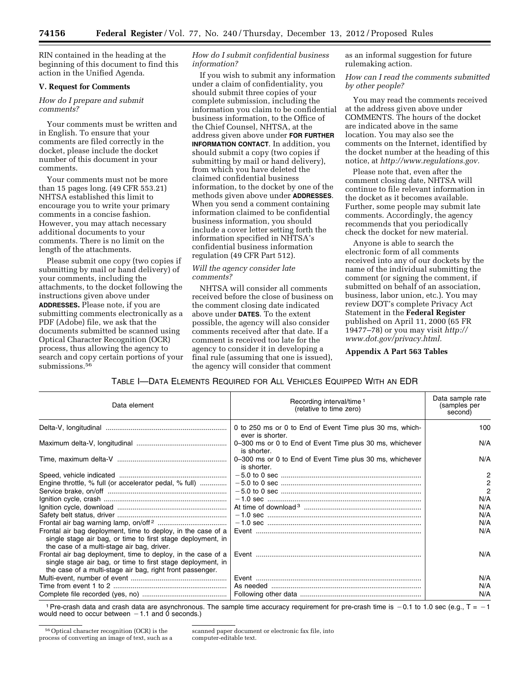RIN contained in the heading at the beginning of this document to find this action in the Unified Agenda.

# **V. Request for Comments**

## *How do I prepare and submit comments?*

Your comments must be written and in English. To ensure that your comments are filed correctly in the docket, please include the docket number of this document in your comments.

Your comments must not be more than 15 pages long. (49 CFR 553.21) NHTSA established this limit to encourage you to write your primary comments in a concise fashion. However, you may attach necessary additional documents to your comments. There is no limit on the length of the attachments.

Please submit one copy (two copies if submitting by mail or hand delivery) of your comments, including the attachments, to the docket following the instructions given above under **ADDRESSES.** Please note, if you are submitting comments electronically as a PDF (Adobe) file, we ask that the documents submitted be scanned using Optical Character Recognition (OCR) process, thus allowing the agency to search and copy certain portions of your submissions.<sup>56</sup>

# *How do I submit confidential business information?*

If you wish to submit any information under a claim of confidentiality, you should submit three copies of your complete submission, including the information you claim to be confidential business information, to the Office of the Chief Counsel, NHTSA, at the address given above under **FOR FURTHER INFORMATION CONTACT**. In addition, you should submit a copy (two copies if submitting by mail or hand delivery), from which you have deleted the claimed confidential business information, to the docket by one of the methods given above under **ADDRESSES**. When you send a comment containing information claimed to be confidential business information, you should include a cover letter setting forth the information specified in NHTSA's confidential business information regulation (49 CFR Part 512).

# *Will the agency consider late comments?*

NHTSA will consider all comments received before the close of business on the comment closing date indicated above under **DATES**. To the extent possible, the agency will also consider comments received after that date. If a comment is received too late for the agency to consider it in developing a final rule (assuming that one is issued), the agency will consider that comment

as an informal suggestion for future rulemaking action.

*How can I read the comments submitted by other people?* 

You may read the comments received at the address given above under COMMENTS. The hours of the docket are indicated above in the same location. You may also see the comments on the Internet, identified by the docket number at the heading of this notice, at *[http://www.regulations.gov.](http://www.regulations.gov)* 

Please note that, even after the comment closing date, NHTSA will continue to file relevant information in the docket as it becomes available. Further, some people may submit late comments. Accordingly, the agency recommends that you periodically check the docket for new material.

Anyone is able to search the electronic form of all comments received into any of our dockets by the name of the individual submitting the comment (or signing the comment, if submitted on behalf of an association, business, labor union, etc.). You may review DOT's complete Privacy Act Statement in the **Federal Register**  published on April 11, 2000 (65 FR 19477–78) or you may visit *[http://](http://www.dot.gov/privacy.html) [www.dot.gov/privacy.html.](http://www.dot.gov/privacy.html)* 

**Appendix A Part 563 Tables** 

# TABLE I—DATA ELEMENTS REQUIRED FOR ALL VEHICLES EQUIPPED WITH AN EDR

| Data element                                                                                                                                                                                                                        | Recording interval/time <sup>1</sup><br>(relative to time zero)              | Data sample rate<br>(samples per<br>second)                        |
|-------------------------------------------------------------------------------------------------------------------------------------------------------------------------------------------------------------------------------------|------------------------------------------------------------------------------|--------------------------------------------------------------------|
|                                                                                                                                                                                                                                     | 0 to 250 ms or 0 to End of Event Time plus 30 ms, which-<br>ever is shorter. | 100                                                                |
|                                                                                                                                                                                                                                     | 0-300 ms or 0 to End of Event Time plus 30 ms, whichever<br>is shorter.      | N/A                                                                |
|                                                                                                                                                                                                                                     | 0-300 ms or 0 to End of Event Time plus 30 ms, whichever<br>is shorter.      | N/A                                                                |
| Engine throttle, % full (or accelerator pedal, % full)<br>Frontal air bag deployment, time to deploy, in the case of a<br>single stage air bag, or time to first stage deployment, in<br>the case of a multi-stage air bag, driver. |                                                                              | $\overline{c}$<br>$\frac{2}{2}$<br>N/A<br>N/A<br>N/A<br>N/A<br>N/A |
| Frontal air bag deployment, time to deploy, in the case of a<br>single stage air bag, or time to first stage deployment, in<br>the case of a multi-stage air bag, right front passenger.                                            |                                                                              | N/A                                                                |
|                                                                                                                                                                                                                                     |                                                                              | N/A                                                                |
|                                                                                                                                                                                                                                     |                                                                              | N/A                                                                |
|                                                                                                                                                                                                                                     |                                                                              | N/A                                                                |

1 Pre-crash data and crash data are asynchronous. The sample time accuracy requirement for pre-crash time is  $-0.1$  to 1.0 sec (e.g.,  $T = -1$ would need to occur between  $-1.1$  and 0 seconds.)

scanned paper document or electronic fax file, into computer-editable text.

<sup>56</sup>Optical character recognition (OCR) is the process of converting an image of text, such as a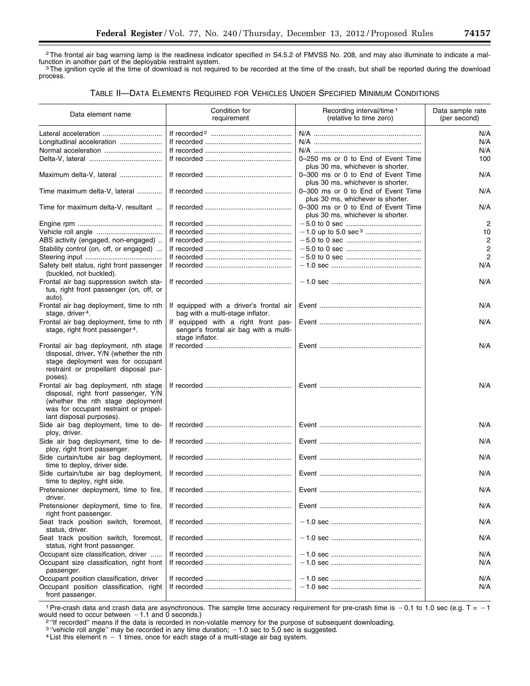2The frontal air bag warning lamp is the readiness indicator specified in S4.5.2 of FMVSS No. 208, and may also illuminate to indicate a mal-Function in another part of the deployable restraint system.<br>3The ignition cycle at the time of download is not required to be recorded at the time of the crash, but shall be reported during the download  $\frac{3}{\sqrt{1}}$ .

process.

# TABLE II—DATA ELEMENTS REQUIRED FOR VEHICLES UNDER SPECIFIED MINIMUM CONDITIONS

| Data element name                                                                                                                                                                       | Condition for<br>requirement                                                                     | Recording interval/time <sup>1</sup><br>(relative to time zero)         | Data sample rate<br>(per second) |
|-----------------------------------------------------------------------------------------------------------------------------------------------------------------------------------------|--------------------------------------------------------------------------------------------------|-------------------------------------------------------------------------|----------------------------------|
|                                                                                                                                                                                         |                                                                                                  |                                                                         | N/A                              |
| Longitudinal acceleration                                                                                                                                                               |                                                                                                  |                                                                         | N/A                              |
|                                                                                                                                                                                         |                                                                                                  |                                                                         | N/A                              |
|                                                                                                                                                                                         |                                                                                                  | 0-250 ms or 0 to End of Event Time<br>plus 30 ms, whichever is shorter. | 100                              |
| Maximum delta-V, lateral                                                                                                                                                                |                                                                                                  | 0-300 ms or 0 to End of Event Time<br>plus 30 ms, whichever is shorter. | N/A                              |
| Time maximum delta-V, lateral                                                                                                                                                           |                                                                                                  | 0-300 ms or 0 to End of Event Time<br>plus 30 ms, whichever is shorter. | N/A                              |
| Time for maximum delta-V, resultant                                                                                                                                                     |                                                                                                  | 0-300 ms or 0 to End of Event Time<br>plus 30 ms, whichever is shorter. | N/A                              |
|                                                                                                                                                                                         |                                                                                                  |                                                                         | $\overline{2}$                   |
|                                                                                                                                                                                         |                                                                                                  |                                                                         | 10                               |
| ABS activity (engaged, non-engaged)                                                                                                                                                     |                                                                                                  |                                                                         | $\overline{2}$                   |
| Stability control (on, off, or engaged)                                                                                                                                                 |                                                                                                  |                                                                         | $\overline{2}$                   |
|                                                                                                                                                                                         |                                                                                                  |                                                                         | $\overline{2}$                   |
| Safety belt status, right front passenger<br>(buckled, not buckled).                                                                                                                    |                                                                                                  |                                                                         | N/A                              |
| Frontal air bag suppression switch sta-<br>tus, right front passenger (on, off, or<br>auto).                                                                                            |                                                                                                  |                                                                         | N/A                              |
| Frontal air bag deployment, time to nth<br>stage, driver <sup>4</sup> .                                                                                                                 | If equipped with a driver's frontal air<br>bag with a multi-stage inflator.                      |                                                                         | N/A                              |
| Frontal air bag deployment, time to nth<br>stage, right front passenger <sup>4</sup> .                                                                                                  | If equipped with a right front pas-<br>senger's frontal air bag with a multi-<br>stage inflator. |                                                                         | N/A                              |
| Frontal air bag deployment, nth stage<br>disposal, driver, Y/N (whether the nth<br>stage deployment was for occupant<br>restraint or propellant disposal pur-<br>poses).                |                                                                                                  |                                                                         | N/A                              |
| Frontal air bag deployment, nth stage<br>disposal, right front passenger, Y/N<br>(whether the nth stage deployment<br>was for occupant restraint or propel-<br>lant disposal purposes). |                                                                                                  |                                                                         | N/A                              |
| Side air bag deployment, time to de-<br>ploy, driver.                                                                                                                                   |                                                                                                  |                                                                         | N/A                              |
| Side air bag deployment, time to de-<br>ploy, right front passenger.                                                                                                                    |                                                                                                  |                                                                         | N/A                              |
| Side curtain/tube air bag deployment,<br>time to deploy, driver side.                                                                                                                   |                                                                                                  |                                                                         | N/A                              |
| Side curtain/tube air bag deployment,<br>time to deploy, right side.                                                                                                                    |                                                                                                  |                                                                         | N/A                              |
| Pretensioner deployment, time to fire,<br>driver.                                                                                                                                       |                                                                                                  |                                                                         | N/A                              |
| Pretensioner deployment, time to fire,<br>right front passenger.                                                                                                                        |                                                                                                  |                                                                         | N/A                              |
| Seat track position switch, foremost,<br>status, driver.                                                                                                                                |                                                                                                  |                                                                         | N/A                              |
| Seat track position switch, foremost,<br>status, right front passenger.                                                                                                                 |                                                                                                  |                                                                         | N/A                              |
| Occupant size classification, driver<br>Occupant size classification, right front                                                                                                       |                                                                                                  |                                                                         | N/A<br>N/A                       |
| passenger.<br>Occupant position classification, driver<br>Occupant position classification, right<br>front passenger.                                                                   |                                                                                                  |                                                                         | N/A<br>N/A                       |

1 Pre-crash data and crash data are asynchronous. The sample time accuracy requirement for pre-crash time is  $-0.1$  to 1.0 sec (e.g. T =  $-1$  would need to occur between  $-1.1$  and 0 seconds.) would need to occur between  $-1.1$  and 0 seconds.)<br><sup>2</sup> "If recorded" means if the data is recorded in non-volatile memory for the purpose of subsequent downloading.

<sup>3 "</sup>vehicle roll angle" may be recorded in any time duration;  $-1.0$  sec to 5.0 sec is suggested.<br><sup>4</sup> List this element n  $-1$  times, once for each stage of a multi-stage air bag system.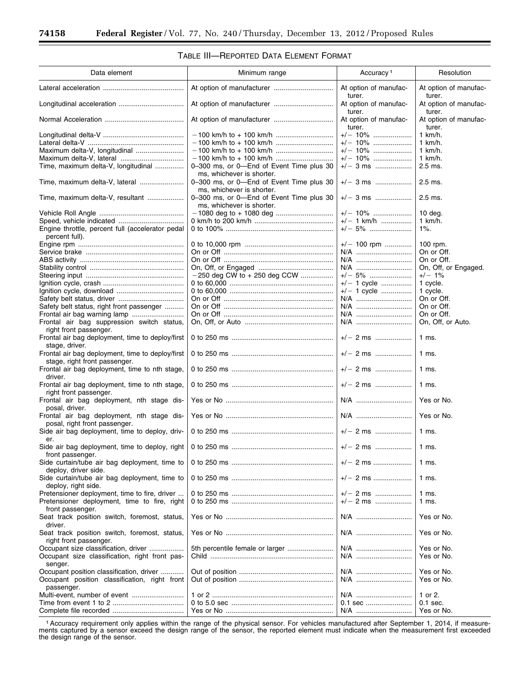# TABLE III—REPORTED DATA ELEMENT FORMAT

| Data element                                                                                                      | Minimum range                                                         | Accuracy <sup>1</sup>           | Resolution                      |
|-------------------------------------------------------------------------------------------------------------------|-----------------------------------------------------------------------|---------------------------------|---------------------------------|
|                                                                                                                   |                                                                       | At option of manufac-<br>turer. | At option of manufac-<br>turer. |
|                                                                                                                   |                                                                       | At option of manufac-<br>turer. | At option of manufac-<br>turer. |
|                                                                                                                   |                                                                       | At option of manufac-<br>turer. | At option of manufac-<br>turer. |
|                                                                                                                   |                                                                       | $+/- 10\%$                      | 1 km/h.                         |
|                                                                                                                   |                                                                       | $+/- 10\%$                      | 1 km/h.                         |
| Maximum delta-V, longitudinal                                                                                     |                                                                       | $+/- 10\%$                      | 1 km/h.                         |
|                                                                                                                   |                                                                       | $+/- 10\%$                      | 1 km/h.                         |
| Time, maximum delta-V, longitudinal                                                                               | 0-300 ms, or 0-End of Event Time plus 30<br>ms, whichever is shorter. | $+/-$ 3 ms                      | $2.5$ ms.                       |
| Time, maximum delta-V, lateral                                                                                    | 0-300 ms, or 0-End of Event Time plus 30<br>ms, whichever is shorter. | $+/-$ 3 ms                      | $2.5$ ms.                       |
| Time, maximum delta-V, resultant                                                                                  | 0-300 ms, or 0-End of Event Time plus 30<br>ms, whichever is shorter. | $+/-$ 3 ms                      | $2.5$ ms.                       |
|                                                                                                                   |                                                                       | $+/- 10\%$                      | $10$ deg.                       |
|                                                                                                                   |                                                                       | $+/- 1$ km/h                    | 1 km/h.                         |
| Engine throttle, percent full (accelerator pedal                                                                  |                                                                       | $+/- 5\%$                       | $1\%$ .                         |
| percent full).                                                                                                    |                                                                       |                                 |                                 |
|                                                                                                                   |                                                                       | $+/- 100$ rpm                   | 100 rpm.                        |
|                                                                                                                   |                                                                       | N/A                             | On or Off.                      |
|                                                                                                                   |                                                                       | N/A                             | On or Off.                      |
|                                                                                                                   |                                                                       | N/A                             | On, Off, or Engaged.            |
|                                                                                                                   | $-250$ deg CW to $+250$ deg CCW                                       | $+/- 5\%$                       | $+/-$ 1%                        |
|                                                                                                                   |                                                                       | $+/- 1$ cycle                   | 1 cycle.                        |
|                                                                                                                   |                                                                       | $+/- 1$ cycle                   | 1 cycle.                        |
|                                                                                                                   |                                                                       | N/A                             | On or Off.                      |
| Safety belt status, right front passenger                                                                         |                                                                       | N/A                             | On or Off.                      |
|                                                                                                                   |                                                                       | N/A                             | On or Off.                      |
| Frontal air bag suppression switch status,                                                                        |                                                                       | N/A                             | On, Off, or Auto.               |
| right front passenger.<br>Frontal air bag deployment, time to deploy/first                                        |                                                                       | $+/-$ 2 ms                      | $1$ ms.                         |
| stage, driver.<br>Frontal air bag deployment, time to deploy/first                                                |                                                                       | $+/-$ 2 ms                      | $1$ ms.                         |
| stage, right front passenger.<br>Frontal air bag deployment, time to nth stage,<br>driver.                        |                                                                       | $+/-$ 2 ms                      | $1$ ms.                         |
| Frontal air bag deployment, time to nth stage,<br>right front passenger.                                          |                                                                       | $+/-$ 2 ms                      | $1$ ms.                         |
| Frontal air bag deployment, nth stage dis-<br>posal, driver.                                                      |                                                                       |                                 | Yes or No.                      |
| Frontal air bag deployment, nth stage dis-<br>posal, right front passenger.                                       |                                                                       | N/A                             | Yes or No.                      |
| Side air bag deployment, time to deploy, driv-<br>er.                                                             |                                                                       | $+/-$ 2 ms                      | $1$ ms.                         |
| front passenger.                                                                                                  |                                                                       | $+/-$ 2 ms                      | 1 ms.                           |
| Side curtain/tube air bag deployment, time to<br>deploy, driver side.                                             |                                                                       | $+/- 2$ ms                      | 1 ms.                           |
| Side curtain/tube air bag deployment, time to<br>deploy, right side.                                              |                                                                       | $+/-$ 2 ms                      | $1$ ms.                         |
| Pretensioner deployment, time to fire, driver<br>Pretensioner deployment, time to fire, right<br>front passenger. |                                                                       | $+/-$ 2 ms<br>$+/- 2$ ms        | $1$ ms.<br>$1$ ms.              |
| Seat track position switch, foremost, status,<br>driver.                                                          |                                                                       | N/A                             | Yes or No.                      |
| Seat track position switch, foremost, status,<br>right front passenger.                                           |                                                                       | N/A                             | Yes or No.                      |
| Occupant size classification, driver<br>Occupant size classification, right front pas-                            | 5th percentile female or larger                                       | N/A<br>N/A                      | Yes or No.<br>Yes or No.        |
| senger.<br>Occupant position classification, driver                                                               |                                                                       | N/A                             | Yes or No.                      |
| Occupant position classification, right front<br>passenger.                                                       |                                                                       | N/A                             | Yes or No.                      |
|                                                                                                                   |                                                                       | N/A                             | 1 or 2.                         |
|                                                                                                                   |                                                                       | 0.1 sec                         | $0.1$ sec.                      |
|                                                                                                                   |                                                                       | N/A                             | Yes or No.                      |

1Accuracy requirement only applies within the range of the physical sensor. For vehicles manufactured after September 1, 2014, if measurements captured by a sensor exceed the design range of the sensor, the reported element must indicate when the measurement first exceeded the design range of the sensor.